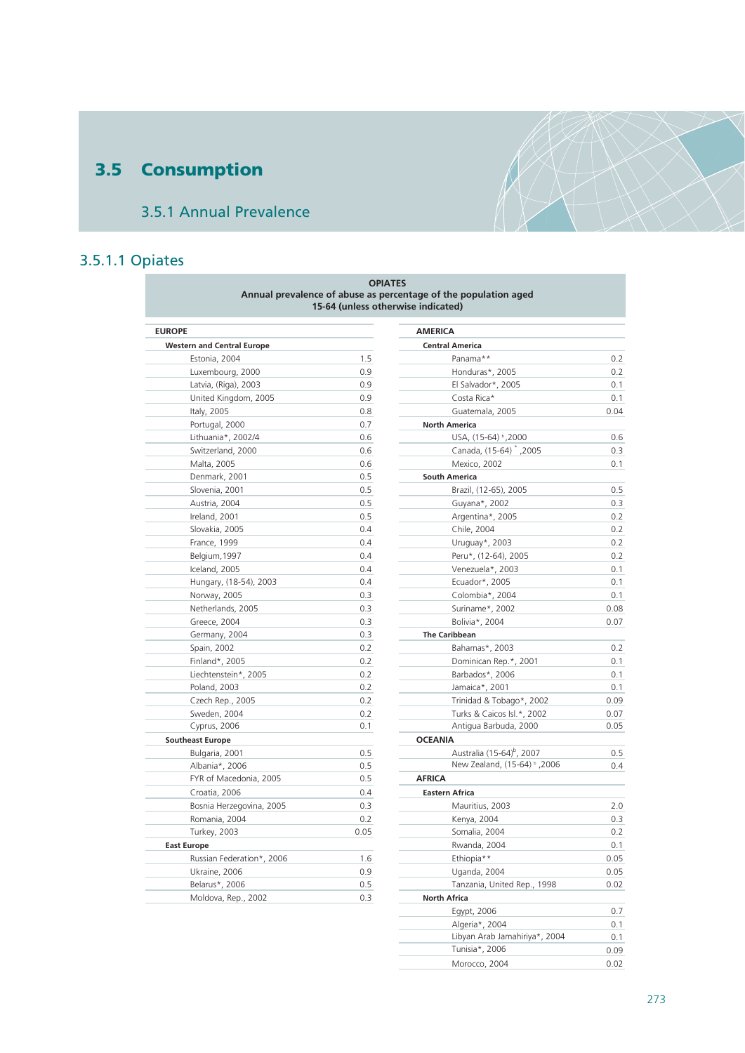# **3.5 Consumption**

## 3.5.1 Annual Prevalence

## 3.5.1.1 Opiates

|                                   | <b>OPIATES</b><br>15-64 (unless otherwise indicated) | Annual prevalence of abuse as percentage of the population aged |      |
|-----------------------------------|------------------------------------------------------|-----------------------------------------------------------------|------|
| <b>EUROPE</b>                     |                                                      | <b>AMERICA</b>                                                  |      |
| <b>Western and Central Europe</b> |                                                      | <b>Central America</b>                                          |      |
| Estonia, 2004                     | 1.5                                                  | Panama**                                                        | 0.2  |
| Luxembourg, 2000                  | 0.9                                                  | Honduras*, 2005                                                 | 0.2  |
| Latvia, (Riga), 2003              | 0.9                                                  | El Salvador*, 2005                                              | 0.1  |
| United Kingdom, 2005              | 0.9                                                  | Costa Rica*                                                     | 0.1  |
| Italy, 2005                       | 0.8                                                  | Guatemala, 2005                                                 | 0.04 |
| Portugal, 2000                    | 0.7                                                  | <b>North America</b>                                            |      |
| Lithuania*, 2002/4                | 0.6                                                  | USA, (15-64) <sup>b</sup> , 2000                                | 0.6  |
| Switzerland, 2000                 | 0.6                                                  | Canada, (15-64) <sup>*</sup> , 2005                             | 0.3  |
| Malta, 2005                       | 0.6                                                  | Mexico, 2002                                                    | 0.1  |
| Denmark, 2001                     | 0.5                                                  | <b>South America</b>                                            |      |
| Slovenia, 2001                    | 0.5                                                  | Brazil, (12-65), 2005                                           | 0.5  |
| Austria, 2004                     | 0.5                                                  | Guyana*, 2002                                                   | 0.3  |
| Ireland, 2001                     | 0.5                                                  | Argentina*, 2005                                                | 0.2  |
| Slovakia, 2005                    | 0.4                                                  | Chile, 2004                                                     | 0.2  |
| France, 1999                      | 0.4                                                  | Uruguay*, 2003                                                  | 0.2  |
| Belgium, 1997                     | 0.4                                                  | Peru*, (12-64), 2005                                            | 0.2  |
| Iceland, 2005                     | 0.4                                                  | Venezuela*, 2003                                                | 0.1  |
| Hungary, (18-54), 2003            | 0.4                                                  | Ecuador*, 2005                                                  | 0.1  |
| Norway, 2005                      | 0.3                                                  | Colombia*, 2004                                                 | 0.1  |
| Netherlands, 2005                 | 0.3                                                  | Suriname*, 2002                                                 | 0.08 |
| Greece, 2004                      | 0.3                                                  | Bolivia*, 2004                                                  | 0.07 |
| Germany, 2004                     | 0.3                                                  | The Caribbean                                                   |      |
| Spain, 2002                       | 0.2                                                  | Bahamas*, 2003                                                  | 0.2  |
| Finland*, 2005                    | 0.2                                                  | Dominican Rep.*, 2001                                           | 0.1  |
| Liechtenstein*, 2005              | 0.2                                                  | Barbados*, 2006                                                 | 0.1  |
| Poland, 2003                      | 0.2                                                  | Jamaica*, 2001                                                  | 0.1  |
| Czech Rep., 2005                  | 0.2                                                  | Trinidad & Tobago*, 2002                                        | 0.09 |
| Sweden, 2004                      | 0.2                                                  | Turks & Caicos Isl.*, 2002                                      | 0.07 |
| Cyprus, 2006                      | 0.1                                                  | Antigua Barbuda, 2000                                           | 0.05 |
| <b>Southeast Europe</b>           |                                                      | <b>OCEANIA</b>                                                  |      |
| Bulgaria, 2001                    | 0.5                                                  | Australia (15-64) <sup>b</sup> , 2007                           | 0.5  |
| Albania*, 2006                    | 0.5                                                  | New Zealand, (15-64) b, 2006                                    | 0.4  |
| FYR of Macedonia, 2005            | 0.5                                                  | <b>AFRICA</b>                                                   |      |
| Croatia, 2006                     | 0.4                                                  | <b>Eastern Africa</b>                                           |      |
| Bosnia Herzegovina, 2005          | 0.3                                                  | Mauritius, 2003                                                 | 2.c  |
| Romania, 2004                     | 0.2                                                  | Kenya, 2004                                                     | 0.3  |
| <b>Turkey, 2003</b>               | 0.05                                                 | Somalia, 2004                                                   | 0.2  |
|                                   |                                                      |                                                                 | 0.1  |
| <b>East Europe</b>                |                                                      | Rwanda, 2004                                                    | 0.05 |
| Russian Federation*, 2006         | 1.6                                                  | Ethiopia**                                                      | 0.05 |
| Ukraine, 2006                     | 0.9                                                  | Uganda, 2004                                                    |      |
| Belarus*, 2006                    | 0.5                                                  | Tanzania, United Rep., 1998                                     | 0.02 |
| Moldova, Rep., 2002               | 0.3                                                  | <b>North Africa</b>                                             |      |

| <b>AMERICA</b>      |                                         |      |
|---------------------|-----------------------------------------|------|
|                     | <b>Central America</b>                  |      |
|                     | Panama**                                | 0.2  |
|                     | Honduras*, 2005                         | 0.2  |
|                     | El Salvador*, 2005                      | 0.1  |
|                     | Costa Rica*                             | 0.1  |
|                     | Guatemala, 2005                         | 0.04 |
|                     | <b>North America</b>                    |      |
|                     | USA, (15-64) b, 2000                    | 0.6  |
|                     | Canada, (15-64) <sup>*</sup> ,2005      | 0.3  |
|                     | Mexico, 2002                            | 0.1  |
|                     | <b>South America</b>                    |      |
|                     | Brazil, (12-65), 2005                   | 0.5  |
|                     | Guyana*, 2002                           | 0.3  |
|                     | Argentina*, 2005                        | 0.2  |
|                     | Chile, 2004                             | 0.2  |
|                     | Uruguay*, 2003                          | 0.2  |
|                     | Peru*, (12-64), 2005                    | 0.2  |
|                     | Venezuela*, 2003                        | 0.1  |
|                     | Ecuador*, 2005                          | 0.1  |
|                     | Colombia*, 2004                         | 0.1  |
|                     | Suriname*, 2002                         | 0.08 |
|                     | Bolivia*, 2004                          | 0.07 |
|                     | <b>The Caribbean</b>                    |      |
|                     | Bahamas*, 2003                          | 0.2  |
|                     | Dominican Rep.*, 2001                   | 0.1  |
|                     | Barbados*, 2006                         | 0.1  |
|                     | Jamaica*, 2001                          | 0.1  |
|                     | Trinidad & Tobago*, 2002                | 0.09 |
|                     | Turks & Caicos Isl.*, 2002              | 0.07 |
|                     | Antigua Barbuda, 2000                   | 0.05 |
| <b>OCEANIA</b>      |                                         |      |
|                     | Australia (15-64) <sup>b</sup> , 2007   | 0.5  |
|                     | 2006, <sup>d</sup> (15-64) <sup>b</sup> | 0.4  |
| <b>AFRICA</b>       |                                         |      |
|                     | <b>Eastern Africa</b>                   |      |
|                     | Mauritius, 2003                         | 2.0  |
|                     | Kenya, 2004                             | 0.3  |
|                     | Somalia, 2004                           | 0.2  |
|                     | Rwanda, 2004                            | 0.1  |
|                     | Ethiopia**                              | 0.05 |
|                     | Uganda, 2004                            | 0.05 |
|                     | Tanzania, United Rep., 1998             | 0.02 |
| <b>North Africa</b> |                                         |      |
|                     | Egypt, 2006                             | 0.7  |
|                     | Algeria*, 2004                          | 0.1  |
|                     | Libyan Arab Jamahiriya*, 2004           | 0.1  |
|                     | Tunisia*, 2006                          | 0.09 |
|                     | Morocco, 2004                           | 0.02 |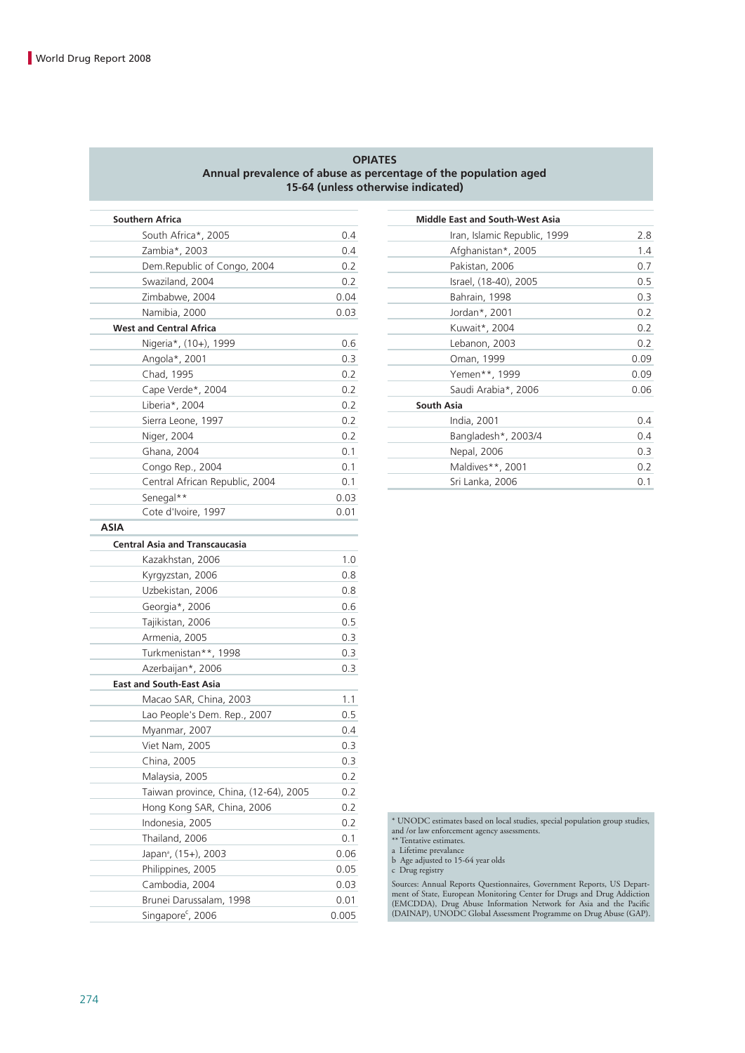#### **OPIATES Annual prevalence of abuse as percentage of the population aged 15-64 (unless otherwise indicated)**

| <b>Southern Africa</b>                |      | <b>Middle East and South-West Asia</b> |
|---------------------------------------|------|----------------------------------------|
| South Africa*, 2005                   | 0.4  | Iran, Islamic Republic, 199            |
| Zambia*, 2003                         | 0.4  | Afghanistan*, 2005                     |
| Dem.Republic of Congo, 2004           | 0.2  | Pakistan, 2006                         |
| Swaziland, 2004                       | 0.2  | Israel, (18-40), 2005                  |
| Zimbabwe, 2004                        | 0.04 | Bahrain, 1998                          |
| Namibia, 2000                         | 0.03 | Jordan*, 2001                          |
| <b>West and Central Africa</b>        |      | Kuwait*, 2004                          |
| Nigeria*, (10+), 1999                 | 0.6  | Lebanon, 2003                          |
| Angola*, 2001                         | 0.3  | Oman, 1999                             |
| Chad, 1995                            | 0.2  | Yemen**, 1999                          |
| Cape Verde*, 2004                     | 0.2  | Saudi Arabia*, 2006                    |
| Liberia*, 2004                        | 0.2  | South Asia                             |
| Sierra Leone, 1997                    | 0.2  | India, 2001                            |
| Niger, 2004                           | 0.2  | Bangladesh*, 2003/4                    |
| Ghana, 2004                           | 0.1  | Nepal, 2006                            |
| Congo Rep., 2004                      | 0.1  | Maldives**, 2001                       |
| Central African Republic, 2004        | 0.1  | Sri Lanka, 2006                        |
| Senegal**                             | 0.03 |                                        |
| Cote d'Ivoire, 1997                   | 0.01 |                                        |
| <b>ASIA</b>                           |      |                                        |
| <b>Central Asia and Transcaucasia</b> |      |                                        |
| Kazakhstan, 2006                      | 1.0  |                                        |
| Kyrgyzstan, 2006                      | 0.8  |                                        |
| Uzbekistan, 2006                      | 0.8  |                                        |
| Georgia*, 2006                        | 0.6  |                                        |
| Tajikistan, 2006                      | 0.5  |                                        |
| Armenia, 2005                         | 0.3  |                                        |
| Turkmenistan**, 1998                  | 0.3  |                                        |
| Azerbaijan*, 2006                     | 0.3  |                                        |
| <b>East and South-East Asia</b>       |      |                                        |
| Macao SAR, China, 2003                | 1.1  |                                        |
| Lao People's Dem. Rep., 2007          | 0.5  |                                        |
| Myanmar, 2007                         | 0.4  |                                        |
| Viet Nam, 2005                        | 0.3  |                                        |
| China, 2005                           | 0.3  |                                        |

Malaysia, 2005 0.2 Taiwan province, China, (12-64), 2005 0.2 Hong Kong SAR, China, 2006 0.2 Indonesia, 2005 0.2 Thailand, 2006 0.1 Japana , (15+), 2003 0.06 Philippines, 2005 0.05 Cambodia, 2004 0.03 Brunei Darussalam, 1998 0.01 Singapore<sup>c</sup>, 2006 0.005

| <b>Southern Africa</b>         |      | <b>Middle East and South-West Asia</b> |      |
|--------------------------------|------|----------------------------------------|------|
| South Africa*, 2005            | 0.4  | Iran, Islamic Republic, 1999           | 2.8  |
| Zambia*, 2003                  | 0.4  | Afghanistan*, 2005                     | 1.4  |
| Dem.Republic of Congo, 2004    | 0.2  | Pakistan, 2006                         | 0.7  |
| Swaziland, 2004                | 0.2  | Israel, (18-40), 2005                  | 0.5  |
| Zimbabwe, 2004                 | 0.04 | Bahrain, 1998                          | 0.3  |
| Namibia, 2000                  | 0.03 | Jordan*, 2001                          | 0.2  |
| <b>West and Central Africa</b> |      | Kuwait*, 2004                          | 0.2  |
| Nigeria*, (10+), 1999          | 0.6  | Lebanon, 2003                          | 0.2  |
| Angola*, 2001                  | 0.3  | Oman, 1999                             | 0.09 |
| Chad, 1995                     | 0.2  | Yemen**, 1999                          | 0.09 |
| Cape Verde*, 2004              | 0.2  | Saudi Arabia*, 2006                    | 0.06 |
| Liberia*, 2004                 | 0.2  | <b>South Asia</b>                      |      |
| Sierra Leone, 1997             | 0.2  | India, 2001                            | 0.4  |
| Niger, 2004                    | 0.2  | Bangladesh*, 2003/4                    | 0.4  |
| Ghana, 2004                    | 0.1  | Nepal, 2006                            | 0.3  |
| Congo Rep., 2004               | 0.1  | Maldives**, 2001                       | 0.2  |
| Central African Republic, 2004 | 0.1  | Sri Lanka, 2006                        | 0.1  |
|                                |      |                                        |      |

\* UNODC estimates based on local studies, special population group studies, and /or law enforcement agency assessments. \*\* Tentative estimates.

a Lifetime prevalance b Age adjusted to 15-64 year olds

c Drug registry

Sources: Annual Reports Questionnaires, Government Reports, US Department of State, European Monitoring Center for Drugs and Drug Addiction (EMCDDA), Drug Abuse Information Network for Asia and the Pacific (DAINAP), UNODC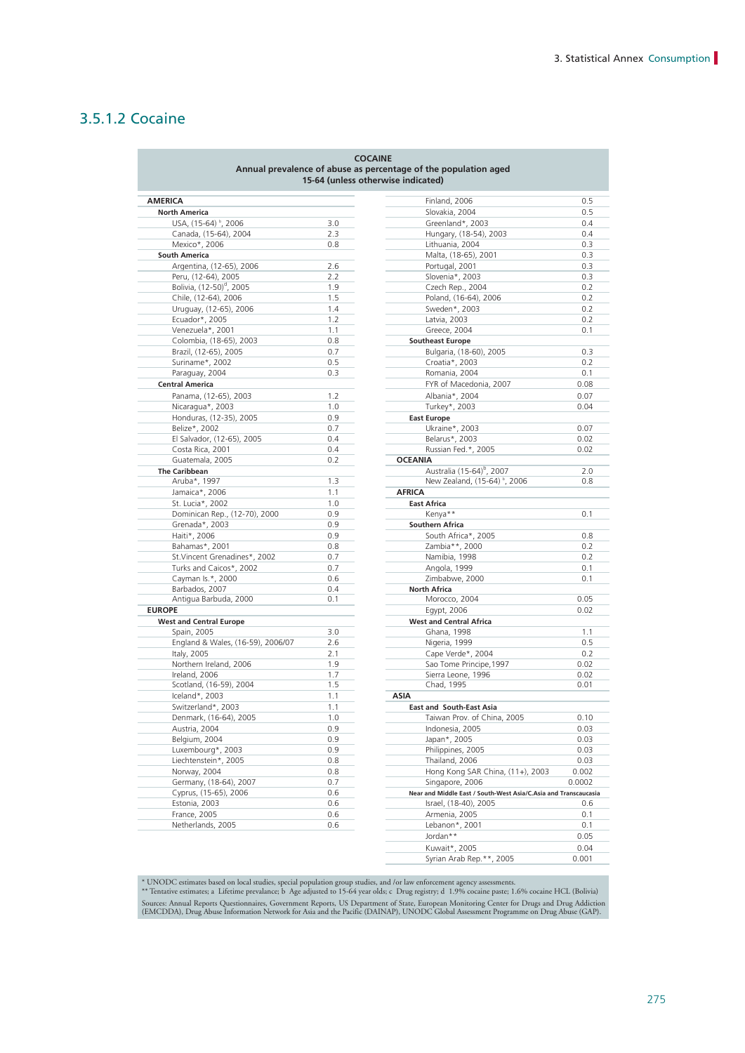### 3.5.1.2 Cocaine

|                                      |            | <b>COCAINE</b><br>Annual prevalence of abuse as percentage of the population aged<br>15-64 (unless otherwise indicated) |        |
|--------------------------------------|------------|-------------------------------------------------------------------------------------------------------------------------|--------|
| <b>AMERICA</b>                       |            | Finland, 2006                                                                                                           | 0.5    |
| <b>North America</b>                 |            | Slovakia, 2004                                                                                                          | 0.5    |
| USA, (15-64) b, 2006                 | 3.0        | Greenland*, 2003                                                                                                        | 0.4    |
| Canada, (15-64), 2004                | 2.3        | Hungary, (18-54), 2003                                                                                                  | 0.4    |
| Mexico*, 2006                        | 0.8        | Lithuania, 2004                                                                                                         | 0.3    |
| <b>South America</b>                 |            | Malta, (18-65), 2001                                                                                                    | 0.3    |
| Argentina, (12-65), 2006             | 2.6        | Portugal, 2001                                                                                                          | 0.3    |
| Peru, (12-64), 2005                  | 2.2        | Slovenia*, 2003                                                                                                         | 0.3    |
| Bolivia, (12-50) <sup>d</sup> , 2005 | 1.9        | Czech Rep., 2004                                                                                                        | 0.2    |
| Chile, (12-64), 2006                 | 1.5        | Poland, (16-64), 2006                                                                                                   | 0.2    |
| Uruguay, (12-65), 2006               | 1.4        | Sweden*, 2003                                                                                                           | 0.2    |
|                                      |            |                                                                                                                         | 0.2    |
| Ecuador*, 2005                       | 1.2        | Latvia, 2003                                                                                                            |        |
| Venezuela*, 2001                     | 1.1        | Greece, 2004                                                                                                            | 0.1    |
| Colombia, (18-65), 2003              | 0.8        | <b>Southeast Europe</b>                                                                                                 |        |
| Brazil, (12-65), 2005                | 0.7        | Bulgaria, (18-60), 2005                                                                                                 | 0.3    |
| Suriname*, 2002                      | 0.5        | Croatia*, 2003                                                                                                          | 0.2    |
| Paraguay, 2004                       | 0.3        | Romania, 2004                                                                                                           | 0.1    |
| <b>Central America</b>               |            | FYR of Macedonia, 2007                                                                                                  | 0.08   |
| Panama, (12-65), 2003                | 1.2        | Albania*, 2004                                                                                                          | 0.07   |
| Nicaragua*, 2003                     | 1.0        | Turkey*, 2003                                                                                                           | 0.04   |
| Honduras, (12-35), 2005              | 0.9        | <b>East Europe</b>                                                                                                      |        |
| Belize*, 2002                        | 0.7        | Ukraine*, 2003                                                                                                          | 0.07   |
| El Salvador, (12-65), 2005           | 0.4        | Belarus*, 2003                                                                                                          | 0.02   |
| Costa Rica, 2001                     | 0.4        | Russian Fed.*, 2005                                                                                                     | 0.02   |
| Guatemala, 2005                      | 0.2        | <b>OCEANIA</b>                                                                                                          |        |
| <b>The Caribbean</b>                 |            | Australia (15-64) <sup>b</sup> , 2007                                                                                   | 2.0    |
| Aruba*, 1997                         | 1.3        | New Zealand, (15-64) b, 2006                                                                                            | 0.8    |
| Jamaica*, 2006                       | 1.1        | <b>AFRICA</b>                                                                                                           |        |
| St. Lucia*, 2002                     | 1.0        | <b>East Africa</b>                                                                                                      |        |
| Dominican Rep., (12-70), 2000        | 0.9        | Kenya**                                                                                                                 | 0.1    |
| Grenada*, 2003                       | 0.9        | <b>Southern Africa</b>                                                                                                  |        |
| Haiti*, 2006                         | 0.9        | South Africa*, 2005                                                                                                     | 0.8    |
| Bahamas*, 2001                       | 0.8        | Zambia**, 2000                                                                                                          | 0.2    |
| St. Vincent Grenadines*, 2002        | 0.7        | Namibia, 1998                                                                                                           | 0.2    |
| Turks and Caicos*, 2002              | 0.7        | Angola, 1999                                                                                                            | 0.1    |
| Cayman Is.*, 2000                    | 0.6        | Zimbabwe, 2000                                                                                                          | 0.1    |
|                                      |            |                                                                                                                         |        |
| Barbados, 2007                       | 0.4<br>0.1 | <b>North Africa</b><br>Morocco, 2004                                                                                    | 0.05   |
| Antigua Barbuda, 2000                |            |                                                                                                                         | 0.02   |
| <b>EUROPE</b>                        |            | Egypt, 2006                                                                                                             |        |
| <b>West and Central Europe</b>       |            | <b>West and Central Africa</b>                                                                                          |        |
| Spain, 2005                          | 3.0        | Ghana, 1998                                                                                                             | 1.1    |
| England & Wales, (16-59), 2006/07    | 2.6        | Nigeria, 1999                                                                                                           | 0.5    |
| Italy, 2005                          | 2.1        | Cape Verde*, 2004                                                                                                       | 0.2    |
| Northern Ireland, 2006               | 1.9        | Sao Tome Principe, 1997                                                                                                 | 0.02   |
| Ireland, 2006                        | 1.7        | Sierra Leone, 1996                                                                                                      | 0.02   |
| Scotland, (16-59), 2004              | 1.5        | Chad, 1995                                                                                                              | 0.01   |
| Iceland*, 2003                       | 1.1        | ASIA                                                                                                                    |        |
| Switzerland*, 2003                   | 1.1        | <b>East and South-East Asia</b>                                                                                         |        |
| Denmark, (16-64), 2005               | 1.0        | Taiwan Prov. of China, 2005                                                                                             | 0.10   |
| Austria, 2004                        | 0.9        | Indonesia, 2005                                                                                                         | 0.03   |
| Belgium, 2004                        | 0.9        | Japan*, 2005                                                                                                            | 0.03   |
| Luxembourg*, 2003                    | 0.9        | Philippines, 2005                                                                                                       | 0.03   |
| Liechtenstein*, 2005                 | 0.8        | Thailand, 2006                                                                                                          | 0.03   |
| Norway, 2004                         | 0.8        | Hong Kong SAR China, (11+), 2003                                                                                        | 0.002  |
| Germany, (18-64), 2007               | 0.7        | Singapore, 2006                                                                                                         | 0.0002 |
| Cyprus, (15-65), 2006                | 0.6        | Near and Middle East / South-West Asia/C.Asia and Transcaucasia                                                         |        |
| Estonia, 2003                        | 0.6        | Israel, (18-40), 2005                                                                                                   | 0.6    |
| France, 2005                         | 0.6        | Armenia, 2005                                                                                                           | 0.1    |
| Netherlands, 2005                    | 0.6        | Lebanon*, 2001                                                                                                          | 0.1    |
|                                      |            |                                                                                                                         |        |

|                     |     | Finland, 2006                                                   | 0.5          |
|---------------------|-----|-----------------------------------------------------------------|--------------|
|                     |     | Slovakia, 2004                                                  | 0.5          |
| 2006                | 3.0 | Greenland*, 2003                                                | 0.4          |
| , 2004              | 2.3 | Hungary, (18-54), 2003                                          | 0.4          |
|                     | 0.8 | Lithuania, 2004                                                 | 0.3          |
|                     |     | Malta, (18-65), 2001                                            | 0.3          |
| 55), 2006           | 2.6 | Portugal, 2001                                                  | 0.3          |
| 005                 | 2.2 | Slovenia*, 2003                                                 | 0.3          |
| , 2005              | 1.9 | Czech Rep., 2004                                                | 0.2          |
| :006                | 1.5 | Poland, (16-64), 2006                                           | 0.2          |
| 5), 2006            | 1.4 | Sweden*, 2003                                                   | 0.2          |
|                     | 1.2 | Latvia, 2003                                                    | 0.2          |
|                     | 1.1 | Greece, 2004                                                    | 0.1          |
| 5), 2003            | 0.8 | <b>Southeast Europe</b>                                         |              |
| 2005                | 0.7 | Bulgaria, (18-60), 2005                                         | 0.3          |
|                     | 0.5 | Croatia*, 2003                                                  | 0.2          |
|                     | 0.3 | Romania, 2004                                                   | 0.1          |
|                     |     | FYR of Macedonia, 2007                                          | 0.08         |
| ), 2003             | 1.2 | Albania*, 2004                                                  | 0.07         |
|                     | 1.0 | Turkey*, 2003                                                   | 0.04         |
| :5), 2005           | 0.9 | <b>East Europe</b>                                              |              |
|                     | 0.7 | Ukraine*, 2003                                                  | 0.07         |
|                     | 0.4 |                                                                 |              |
| -65), 2005          | 0.4 | Belarus*, 2003<br>Russian Fed.*, 2005                           | 0.02<br>0.02 |
|                     | 0.2 | <b>OCEANIA</b>                                                  |              |
|                     |     | Australia (15-64) <sup>b</sup> , 2007                           | 2.0          |
|                     | 1.3 | New Zealand, (15-64) b, 2006                                    | 0.8          |
|                     | 1.1 | <b>AFRICA</b>                                                   |              |
|                     |     |                                                                 |              |
|                     | 1.0 | <b>East Africa</b>                                              |              |
| , (12-70), 2000     | 0.9 | Kenya**                                                         | 0.1          |
|                     | 0.9 | <b>Southern Africa</b>                                          |              |
|                     | 0.9 | South Africa*, 2005                                             | 0.8          |
|                     | 0.8 | Zambia**, 2000                                                  | 0.2          |
| adines*, 2002       | 0.7 | Namibia, 1998                                                   | 0.2          |
| s*, 2002            | 0.7 | Angola, 1999                                                    | 0.1          |
|                     | 0.6 | Zimbabwe, 2000                                                  | 0.1          |
|                     | 0.4 | <b>North Africa</b>                                             |              |
| a, 2000             | 0.1 | Morocco, 2004                                                   | 0.05         |
|                     |     | Egypt, 2006                                                     | 0.02         |
| <b>rope</b>         |     | <b>West and Central Africa</b>                                  |              |
|                     | 3.0 | Ghana, 1998                                                     | 1.1          |
| s, (16-59), 2006/07 | 2.6 | Nigeria, 1999                                                   | 0.5          |
|                     | 2.1 | Cape Verde*, 2004                                               | 0.2          |
| l, 2006             | 1.9 | Sao Tome Principe, 1997                                         | 0.02         |
|                     | 1.7 | Sierra Leone, 1996                                              | 0.02         |
| 9), 2004            | 1.5 | Chad, 1995                                                      | 0.01         |
|                     | 1.1 | <b>ASIA</b>                                                     |              |
| 203                 | 1.1 | <b>East and South-East Asia</b>                                 |              |
| 4), 2005            | 1.0 | Taiwan Prov. of China, 2005                                     | 0.10         |
|                     | 0.9 | Indonesia, 2005                                                 | 0.03         |
|                     | 0.9 | Japan*, 2005                                                    | 0.03         |
| :003                | 0.9 | Philippines, 2005                                               | 0.03         |
| 2005                | 0.8 | Thailand, 2006                                                  | 0.03         |
|                     | 0.8 | Hong Kong SAR China, (11+), 2003                                | 0.002        |
| 4), 2007            | 0.7 | Singapore, 2006                                                 | 0.0002       |
| 2006                | 0.6 | Near and Middle East / South-West Asia/C.Asia and Transcaucasia |              |
|                     | 0.6 | Israel, (18-40), 2005                                           | 0.6          |
|                     | 0.6 | Armenia, 2005                                                   | 0.1          |
|                     | 0.6 | Lebanon*, 2001                                                  | 0.1          |
|                     |     |                                                                 |              |
|                     |     | Jordan**                                                        |              |
|                     |     | Kuwait*, 2005                                                   | 0.05<br>0.04 |

\* UNODC estimates based on local studies, special population group studies, and /or law enforcement agency assessments.<br>\*\* Tentative estimates; a Lifetime prevalance; b Age adjusted to 15-64 year olds; c Drug registry; d 1 Sources: Annual Reports Questionnaires, Government Reports, US Department of State, European Monitoring Center for Drugs and Drug Addiction<br>(EMCDDA), Drug Abuse Information Network for Asia and the Pacific (DAINAP), UNODC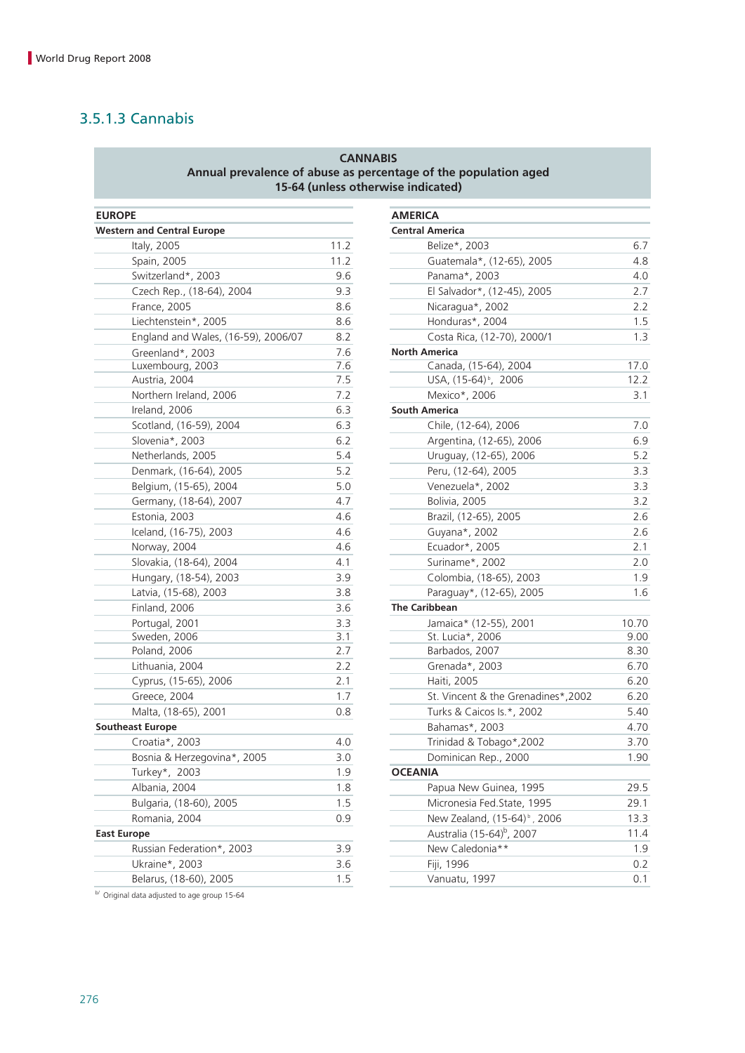### 3.5.1.3 Cannabis

### **CANNABIS Annual prevalence of abuse as percentage of the population aged 15-64 (unless otherwise indicated)**

| <b>EUROPE</b>                       |      | <b>AMERICA</b>                 |
|-------------------------------------|------|--------------------------------|
| <b>Western and Central Europe</b>   |      | <b>Central America</b>         |
| Italy, 2005                         | 11.2 | Belize*, 2003                  |
| Spain, 2005                         | 11.2 | Guatemala*, (12-               |
| Switzerland*, 2003                  | 9.6  | Panama*, 2003                  |
| Czech Rep., (18-64), 2004           | 9.3  | El Salvador*, (12-             |
| France, 2005                        | 8.6  | Nicaragua*, 2002               |
| Liechtenstein*, 2005                | 8.6  | Honduras*, 2004                |
| England and Wales, (16-59), 2006/07 | 8.2  | Costa Rica, (12-7              |
| Greenland*, 2003                    | 7.6  | <b>North America</b>           |
| Luxembourg, 2003                    | 7.6  | Canada, (15-64),               |
| Austria, 2004                       | 7.5  | USA, (15-64) <sup>b</sup> , 2  |
| Northern Ireland, 2006              | 7.2  | Mexico*, 2006                  |
| Ireland, 2006                       | 6.3  | <b>South America</b>           |
| Scotland, (16-59), 2004             | 6.3  | Chile, (12-64), 20             |
| Slovenia*, 2003                     | 6.2  | Argentina, (12-65              |
| Netherlands, 2005                   | 5.4  | Uruguay, (12-65)               |
| Denmark, (16-64), 2005              | 5.2  | Peru, (12-64), 20              |
| Belgium, (15-65), 2004              | 5.0  | Venezuela*, 2002               |
| Germany, (18-64), 2007              | 4.7  | Bolivia, 2005                  |
| Estonia, 2003                       | 4.6  | Brazil, (12-65), 20            |
| Iceland, (16-75), 2003              | 4.6  | Guyana*, 2002                  |
| Norway, 2004                        | 4.6  | Ecuador*, 2005                 |
| Slovakia, (18-64), 2004             | 4.1  | Suriname*, 2002                |
| Hungary, (18-54), 2003              | 3.9  | Colombia, (18-65               |
| Latvia, (15-68), 2003               | 3.8  | Paraguay*, (12-6!              |
| Finland, 2006                       | 3.6  | <b>The Caribbean</b>           |
| Portugal, 2001                      | 3.3  | Jamaica* (12-55)               |
| Sweden, 2006                        | 3.1  | St. Lucia*, 2006               |
| Poland, 2006                        | 2.7  | Barbados, 2007                 |
| Lithuania, 2004                     | 2.2  | Grenada*, 2003                 |
| Cyprus, (15-65), 2006               | 2.1  | Haiti, 2005                    |
| Greece, 2004                        | 1.7  | St. Vincent & the              |
| Malta, (18-65), 2001                | 0.8  | Turks & Caicos Is.             |
| <b>Southeast Europe</b>             |      | Bahamas*, 2003                 |
| Croatia*, 2003                      | 4.0  | Trinidad & Tobag               |
| Bosnia & Herzegovina*, 2005         | 3.0  | Dominican Rep.,                |
| Turkey*, 2003                       | 1.9  | <b>OCEANIA</b>                 |
| Albania, 2004                       | 1.8  | Papua New Guine                |
| Bulgaria, (18-60), 2005             | 1.5  | Micronesia Fed.St              |
| Romania, 2004                       | 0.9  | New Zealand, (15               |
| <b>East Europe</b>                  |      | Australia (15-64) <sup>b</sup> |
| Russian Federation*, 2003           | 3.9  | New Caledonia**                |
| Ukraine*, 2003                      | 3.6  | Fiji, 1996                     |
| Belarus, (18-60), 2005              | 1.5  | Vanuatu, 1997                  |
|                                     |      |                                |

| <b>EUROPE</b> |                                     |      | <b>AMERICA</b>                           |       |
|---------------|-------------------------------------|------|------------------------------------------|-------|
|               | <b>Western and Central Europe</b>   |      | <b>Central America</b>                   |       |
|               | Italy, 2005                         | 11.2 | Belize*, 2003                            | 6.7   |
|               | Spain, 2005                         | 11.2 | Guatemala*, (12-65), 2005                | 4.8   |
|               | Switzerland*, 2003                  | 9.6  | Panama*, 2003                            | 4.0   |
|               | Czech Rep., (18-64), 2004           | 9.3  | El Salvador*, (12-45), 2005              | 2.7   |
|               | France, 2005                        | 8.6  | Nicaragua*, 2002                         | 2.2   |
|               | Liechtenstein*, 2005                | 8.6  | Honduras*, 2004                          | 1.5   |
|               | England and Wales, (16-59), 2006/07 | 8.2  | Costa Rica, (12-70), 2000/1              | 1.3   |
|               | Greenland*, 2003                    | 7.6  | <b>North America</b>                     |       |
|               | Luxembourg, 2003                    | 7.6  | Canada, (15-64), 2004                    | 17.0  |
|               | Austria, 2004                       | 7.5  | USA, (15-64) <sup>b</sup> , 2006         | 12.2  |
|               | Northern Ireland, 2006              | 7.2  | Mexico*, 2006                            | 3.1   |
|               | Ireland, 2006                       | 6.3  | <b>South America</b>                     |       |
|               | Scotland, (16-59), 2004             | 6.3  | Chile, (12-64), 2006                     | 7.0   |
|               | Slovenia*, 2003                     | 6.2  | Argentina, (12-65), 2006                 | 6.9   |
|               | Netherlands, 2005                   | 5.4  | Uruguay, (12-65), 2006                   | 5.2   |
|               | Denmark, (16-64), 2005              | 5.2  | Peru, (12-64), 2005                      | 3.3   |
|               | Belgium, (15-65), 2004              | 5.0  | Venezuela*, 2002                         | 3.3   |
|               | Germany, (18-64), 2007              | 4.7  | Bolivia, 2005                            | 3.2   |
|               | Estonia, 2003                       | 4.6  | Brazil, (12-65), 2005                    | 2.6   |
|               | Iceland, (16-75), 2003              | 4.6  | Guyana*, 2002                            | 2.6   |
|               | Norway, 2004                        | 4.6  | Ecuador*, 2005                           | 2.1   |
|               | Slovakia, (18-64), 2004             | 4.1  | Suriname*, 2002                          | 2.0   |
|               | Hungary, (18-54), 2003              | 3.9  | Colombia, (18-65), 2003                  | 1.9   |
|               | Latvia, (15-68), 2003               | 3.8  | Paraguay*, (12-65), 2005                 | 1.6   |
|               | Finland, 2006                       | 3.6  | <b>The Caribbean</b>                     |       |
|               | Portugal, 2001                      | 3.3  | Jamaica* (12-55), 2001                   | 10.70 |
|               | Sweden, 2006                        | 3.1  | St. Lucia*, 2006                         | 9.00  |
|               | Poland, 2006                        | 2.7  | Barbados, 2007                           | 8.30  |
|               | Lithuania, 2004                     | 2.2  | Grenada*, 2003                           | 6.70  |
|               | Cyprus, (15-65), 2006               | 2.1  | Haiti, 2005                              | 6.20  |
|               | Greece, 2004                        | 1.7  | St. Vincent & the Grenadines*,2002       | 6.20  |
|               | Malta, (18-65), 2001                | 0.8  | Turks & Caicos Is.*, 2002                | 5.40  |
|               | <b>Southeast Europe</b>             |      | Bahamas*, 2003                           | 4.70  |
|               | Croatia*, 2003                      | 4.0  | Trinidad & Tobago*,2002                  | 3.70  |
|               | Bosnia & Herzegovina*, 2005         | 3.0  | Dominican Rep., 2000                     | 1.90  |
|               | Turkey*, 2003                       | 1.9  | <b>OCEANIA</b>                           |       |
|               | Albania, 2004                       | 1.8  | Papua New Guinea, 1995                   | 29.5  |
|               | Bulgaria, (18-60), 2005             | 1.5  | Micronesia Fed.State, 1995               | 29.1  |
|               | Romania, 2004                       | 0.9  | New Zealand, (15-64) <sup>b</sup> , 2006 | 13.3  |
|               | <b>East Europe</b>                  |      | Australia (15-64) <sup>b</sup> , 2007    | 11.4  |
|               | Russian Federation*, 2003           | 3.9  | New Caledonia**                          | 1.9   |
|               | Ukraine*, 2003                      | 3.6  | Fiji, 1996                               | 0.2   |
|               | Belarus, (18-60), 2005              | 1.5  | Vanuatu, 1997                            | 0.1   |

b/ Original data adjusted to age group 15-64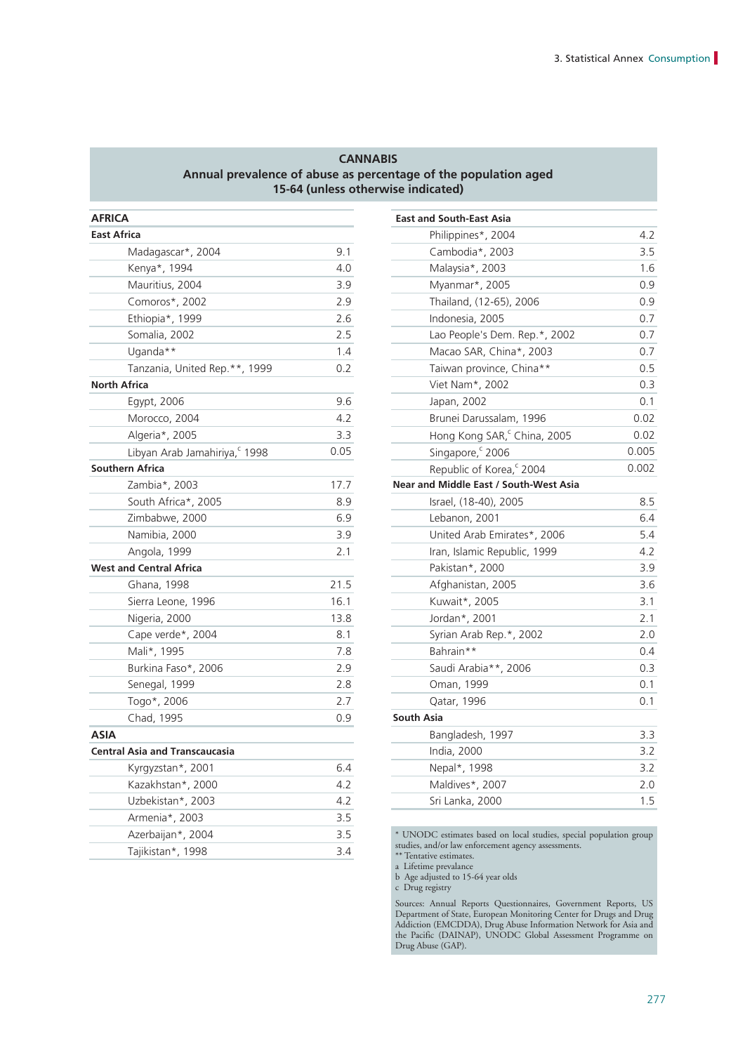#### **CANNABIS Annual prevalence of abuse as percentage of the population aged 15-64 (unless otherwise indicated)**

| <b>AFRICA</b>                         |      | <b>East and South-East Asia</b>                                                |
|---------------------------------------|------|--------------------------------------------------------------------------------|
| <b>East Africa</b>                    |      | Philippines*, 2004                                                             |
| Madagascar*, 2004                     | 9.1  | Cambodia*, 2003                                                                |
| Kenya*, 1994                          | 4.0  | Malaysia*, 2003                                                                |
| Mauritius, 2004                       | 3.9  | Myanmar*, 2005                                                                 |
| Comoros*, 2002                        | 2.9  | Thailand, (12-65), 2006                                                        |
| Ethiopia*, 1999                       | 2.6  | Indonesia, 2005                                                                |
| Somalia, 2002                         | 2.5  | Lao People's Dem. Rep.*, 2002                                                  |
| Uganda**                              | 1.4  | Macao SAR, China*, 2003                                                        |
| Tanzania, United Rep.**, 1999         | 0.2  | Taiwan province, China**                                                       |
| <b>North Africa</b>                   |      | Viet Nam*, 2002                                                                |
| Egypt, 2006                           | 9.6  | Japan, 2002                                                                    |
| Morocco, 2004                         | 4.2  | Brunei Darussalam, 1996                                                        |
| Algeria*, 2005                        | 3.3  | Hong Kong SAR, <sup>c</sup> China, 2005                                        |
| Libyan Arab Jamahiriya, 1998          | 0.05 | Singapore, 2006                                                                |
| <b>Southern Africa</b>                |      | Republic of Korea, <sup>c</sup> 2004                                           |
| Zambia*, 2003                         | 17.7 | Near and Middle East / South-West Asia                                         |
| South Africa*, 2005                   | 8.9  | Israel, (18-40), 2005                                                          |
| Zimbabwe, 2000                        | 6.9  | Lebanon, 2001                                                                  |
| Namibia, 2000                         | 3.9  | United Arab Emirates*, 2006                                                    |
| Angola, 1999                          | 2.1  | Iran, Islamic Republic, 1999                                                   |
| <b>West and Central Africa</b>        |      | Pakistan*, 2000                                                                |
| Ghana, 1998                           | 21.5 | Afghanistan, 2005                                                              |
| Sierra Leone, 1996                    | 16.1 | Kuwait*, 2005                                                                  |
| Nigeria, 2000                         | 13.8 | Jordan*, 2001                                                                  |
| Cape verde*, 2004                     | 8.1  | Syrian Arab Rep.*, 2002                                                        |
| Mali*, 1995                           | 7.8  | Bahrain**                                                                      |
| Burkina Faso*, 2006                   | 2.9  | Saudi Arabia**, 2006                                                           |
| Senegal, 1999                         | 2.8  | Oman, 1999                                                                     |
| Togo*, 2006                           | 2.7  | Qatar, 1996                                                                    |
| Chad, 1995                            | 0.9  | <b>South Asia</b>                                                              |
| <b>ASIA</b>                           |      | Bangladesh, 1997                                                               |
| <b>Central Asia and Transcaucasia</b> |      | India, 2000                                                                    |
| Kyrgyzstan*, 2001                     | 6.4  | Nepal*, 1998                                                                   |
| Kazakhstan*, 2000                     | 4.2  | Maldives*, 2007                                                                |
| Uzbekistan*, 2003                     | 4.2  | Sri Lanka, 2000                                                                |
| Armenia*, 2003                        | 3.5  |                                                                                |
| Azerbaijan*, 2004                     | 3.5  | * UNODC estimates based on local studies, spec                                 |
| Tajikistan*, 1998                     | 3.4  | studies, and/or law enforcement agency assessments<br>$**$ Tantative estimates |

| AFRICA                                |      | <b>East and South-East Asia</b>         |       |
|---------------------------------------|------|-----------------------------------------|-------|
| East Africa                           |      | Philippines*, 2004                      | 4.2   |
| Madagascar*, 2004                     | 9.1  | Cambodia*, 2003                         | 3.5   |
| Kenya*, 1994                          | 4.0  | Malaysia*, 2003                         | 1.6   |
| Mauritius, 2004                       | 3.9  | Myanmar*, 2005                          | 0.9   |
| Comoros*, 2002                        | 2.9  | Thailand, (12-65), 2006                 | 0.9   |
| Ethiopia*, 1999                       | 2.6  | Indonesia, 2005                         | 0.7   |
| Somalia, 2002                         | 2.5  | Lao People's Dem. Rep.*, 2002           | 0.7   |
| Uganda**                              | 1.4  | Macao SAR, China*, 2003                 | 0.7   |
| Tanzania, United Rep.**, 1999         | 0.2  | Taiwan province, China**                | 0.5   |
| <b>North Africa</b>                   |      | Viet Nam*, 2002                         | 0.3   |
| Egypt, 2006                           | 9.6  | Japan, 2002                             | 0.1   |
| Morocco, 2004                         | 4.2  | Brunei Darussalam, 1996                 | 0.02  |
| Algeria*, 2005                        | 3.3  | Hong Kong SAR, <sup>c</sup> China, 2005 | 0.02  |
| Libyan Arab Jamahiriya, 1998          | 0.05 | Singapore, 2006                         | 0.005 |
| <b>Southern Africa</b>                |      | Republic of Korea, <sup>c</sup> 2004    | 0.002 |
| Zambia*, 2003                         | 17.7 | Near and Middle East / South-West Asia  |       |
| South Africa*, 2005                   | 8.9  | Israel, (18-40), 2005                   | 8.5   |
| Zimbabwe, 2000                        | 6.9  | Lebanon, 2001                           | 6.4   |
| Namibia, 2000                         | 3.9  | United Arab Emirates*, 2006             | 5.4   |
| Angola, 1999                          | 2.1  | Iran, Islamic Republic, 1999            | 4.2   |
| <b>West and Central Africa</b>        |      | Pakistan*, 2000                         | 3.9   |
| Ghana, 1998                           | 21.5 | Afghanistan, 2005                       | 3.6   |
| Sierra Leone, 1996                    | 16.1 | Kuwait*, 2005                           | 3.1   |
| Nigeria, 2000                         | 13.8 | Jordan*, 2001                           | 2.1   |
| Cape verde*, 2004                     | 8.1  | Syrian Arab Rep.*, 2002                 | 2.0   |
| Mali*, 1995                           | 7.8  | Bahrain**                               | 0.4   |
| Burkina Faso*, 2006                   | 2.9  | Saudi Arabia**, 2006                    | 0.3   |
| Senegal, 1999                         | 2.8  | Oman, 1999                              | 0.1   |
| Togo*, 2006                           | 2.7  | Qatar, 1996                             | 0.1   |
| Chad, 1995                            | 0.9  | <b>South Asia</b>                       |       |
| <b>ASIA</b>                           |      | Bangladesh, 1997                        | 3.3   |
| <b>Central Asia and Transcaucasia</b> |      | India, 2000                             | 3.2   |
| Kyrgyzstan*, 2001                     | 6.4  | Nepal*, 1998                            | 3.2   |
| Kazakhstan*, 2000                     | 4.2  | Maldives*, 2007                         | 2.0   |
| Uzbekistan*, 2003                     | 4.2  | Sri Lanka, 2000                         | 1.5   |
| $\sim$ $\sim$ $\sim$ $\sim$           |      |                                         |       |

\* UNODC estimates based on local studies, special population group studies, and/or law enforcement agency assessments.

\*\* Tentative estimates.

a Lifetime prevalance

b Age adjusted to 15-64 year olds

c Drug registry

Sources: Annual Reports Questionnaires, Government Reports, US Department of State, European Monitoring Center for Drugs and Drug Addiction (EMCDDA), Drug Abuse Information Network for Asia and the Pacific (DAINAP), UNODC Global Assessment Programme on Drug Abuse (GAP).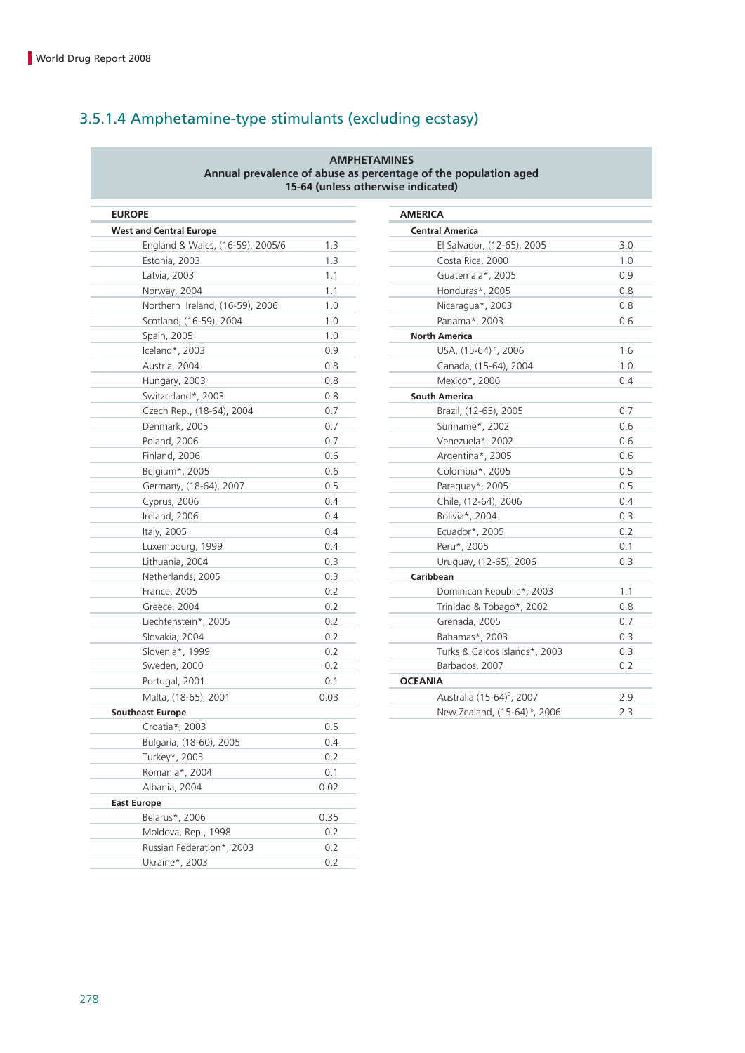## 3.5.1.4 Amphetamine-type stimulants (excluding ecstasy)

#### **AMPHETAMINES Annual prevalence of abuse as percentage of the population aged 15-64 (unless otherwise indicated)**

| <b>EUROPE</b>                    |      | <b>AMERICA</b>                       |
|----------------------------------|------|--------------------------------------|
| <b>West and Central Europe</b>   |      | <b>Central America</b>               |
| England & Wales, (16-59), 2005/6 | 1.3  | El Salvador, (12-65), 20             |
| Estonia, 2003                    | 1.3  | Costa Rica, 2000                     |
| Latvia, 2003                     | 1.1  | Guatemala*, 2005                     |
| Norway, 2004                     | 1.1  | Honduras*, 2005                      |
| Northern Ireland, (16-59), 2006  | 1.0  | Nicaragua*, 2003                     |
| Scotland, (16-59), 2004          | 1.0  | Panama*, 2003                        |
| Spain, 2005                      | 1.0  | <b>North America</b>                 |
| Iceland*, 2003                   | 0.9  | USA, (15-64) <sup>b</sup> , 2006     |
| Austria, 2004                    | 0.8  | Canada, (15-64), 2004                |
| Hungary, 2003                    | 0.8  | Mexico*, 2006                        |
| Switzerland*, 2003               | 0.8  | <b>South America</b>                 |
| Czech Rep., (18-64), 2004        | 0.7  | Brazil, (12-65), 2005                |
| Denmark, 2005                    | 0.7  | Suriname*, 2002                      |
| Poland, 2006                     | 0.7  | Venezuela*, 2002                     |
| Finland, 2006                    | 0.6  | Argentina*, 2005                     |
| Belgium*, 2005                   | 0.6  | Colombia*, 2005                      |
| Germany, (18-64), 2007           | 0.5  | Paraguay*, 2005                      |
| Cyprus, 2006                     | 0.4  | Chile, (12-64), 2006                 |
| Ireland, 2006                    | 0.4  | Bolivia*, 2004                       |
| Italy, 2005                      | 0.4  | Ecuador*, 2005                       |
| Luxembourg, 1999                 | 0.4  | Peru*, 2005                          |
| Lithuania, 2004                  | 0.3  | Uruguay, (12-65), 2006               |
| Netherlands, 2005                | 0.3  | Caribbean                            |
| France, 2005                     | 0.2  | Dominican Republic*,                 |
| Greece, 2004                     | 0.2  | Trinidad & Tobago*, 2                |
| Liechtenstein*, 2005             | 0.2  | Grenada, 2005                        |
| Slovakia, 2004                   | 0.2  | Bahamas*, 2003                       |
| Slovenia*, 1999                  | 0.2  | Turks & Caicos Islands*              |
| Sweden, 2000                     | 0.2  | Barbados, 2007                       |
| Portugal, 2001                   | 0.1  | <b>OCEANIA</b>                       |
| Malta, (18-65), 2001             | 0.03 | Australia (15-64) <sup>b</sup> , 200 |
| <b>Southeast Europe</b>          |      | New Zealand, (15-64) <sup>t</sup>    |
| Croatia*, 2003                   | 0.5  |                                      |
| Bulgaria, (18-60), 2005          | 0.4  |                                      |
| Turkey*, 2003                    | 0.2  |                                      |
| Romania*, 2004                   | 0.1  |                                      |
| Albania, 2004                    | 0.02 |                                      |
| <b>East Europe</b>               |      |                                      |
| Belarus*, 2006                   | 0.35 |                                      |
| Moldova, Rep., 1998              | 0.2  |                                      |
| Russian Federation*, 2003        | 0.2  |                                      |
| Ukraine*, 2003                   | 0.2  |                                      |
|                                  |      |                                      |

| Έ                                |      | <b>AMERICA</b>                           |     |
|----------------------------------|------|------------------------------------------|-----|
| nd Central Europe                |      | <b>Central America</b>                   |     |
| England & Wales, (16-59), 2005/6 | 1.3  | El Salvador, (12-65), 2005               | 3.0 |
| Estonia, 2003                    | 1.3  | Costa Rica, 2000                         | 1.0 |
| Latvia, 2003                     | 1.1  | Guatemala*, 2005                         | 0.9 |
| Norway, 2004                     | 1.1  | Honduras*, 2005                          | 0.8 |
| Northern Ireland, (16-59), 2006  | 1.0  | Nicaragua*, 2003                         | 0.8 |
| Scotland, (16-59), 2004          | 1.0  | Panama*, 2003                            | 0.6 |
| Spain, 2005                      | 1.0  | <b>North America</b>                     |     |
| Iceland*, 2003                   | 0.9  | USA, (15-64) <sup>b</sup> , 2006         | 1.6 |
| Austria, 2004                    | 0.8  | Canada, (15-64), 2004                    | 1.0 |
| Hungary, 2003                    | 0.8  | Mexico*, 2006                            | 0.4 |
| Switzerland*, 2003               | 0.8  | <b>South America</b>                     |     |
| Czech Rep., (18-64), 2004        | 0.7  | Brazil, (12-65), 2005                    | 0.7 |
| Denmark, 2005                    | 0.7  | Suriname*, 2002                          | 0.6 |
| Poland, 2006                     | 0.7  | Venezuela*, 2002                         | 0.6 |
| Finland, 2006                    | 0.6  | Argentina*, 2005                         | 0.6 |
| Belgium*, 2005                   | 0.6  | Colombia*, 2005                          | 0.5 |
| Germany, (18-64), 2007           | 0.5  | Paraguay*, 2005                          | 0.5 |
| Cyprus, 2006                     | 0.4  | Chile, (12-64), 2006                     | 0.4 |
| Ireland, 2006                    | 0.4  | Bolivia*, 2004                           | 0.3 |
| Italy, 2005                      | 0.4  | Ecuador*, 2005                           | 0.2 |
| Luxembourg, 1999                 | 0.4  | Peru*, 2005                              | 0.1 |
| Lithuania, 2004                  | 0.3  | Uruguay, (12-65), 2006                   | 0.3 |
| Netherlands, 2005                | 0.3  | Caribbean                                |     |
| France, 2005                     | 0.2  | Dominican Republic*, 2003                | 1.1 |
| Greece, 2004                     | 0.2  | Trinidad & Tobago*, 2002                 | 0.8 |
| Liechtenstein*, 2005             | 0.2  | Grenada, 2005                            | 0.7 |
| Slovakia, 2004                   | 0.2  | Bahamas*, 2003                           | 0.3 |
| Slovenia*, 1999                  | 0.2  | Turks & Caicos Islands*, 2003            | 0.3 |
| Sweden, 2000                     | 0.2  | Barbados, 2007                           | 0.2 |
| Portugal, 2001                   | 0.1  | <b>OCEANIA</b>                           |     |
| Malta, (18-65), 2001             | 0.03 | Australia (15-64) <sup>b</sup> , 2007    | 2.9 |
| ast Europe                       |      | New Zealand, (15-64) <sup>b</sup> , 2006 | 2.3 |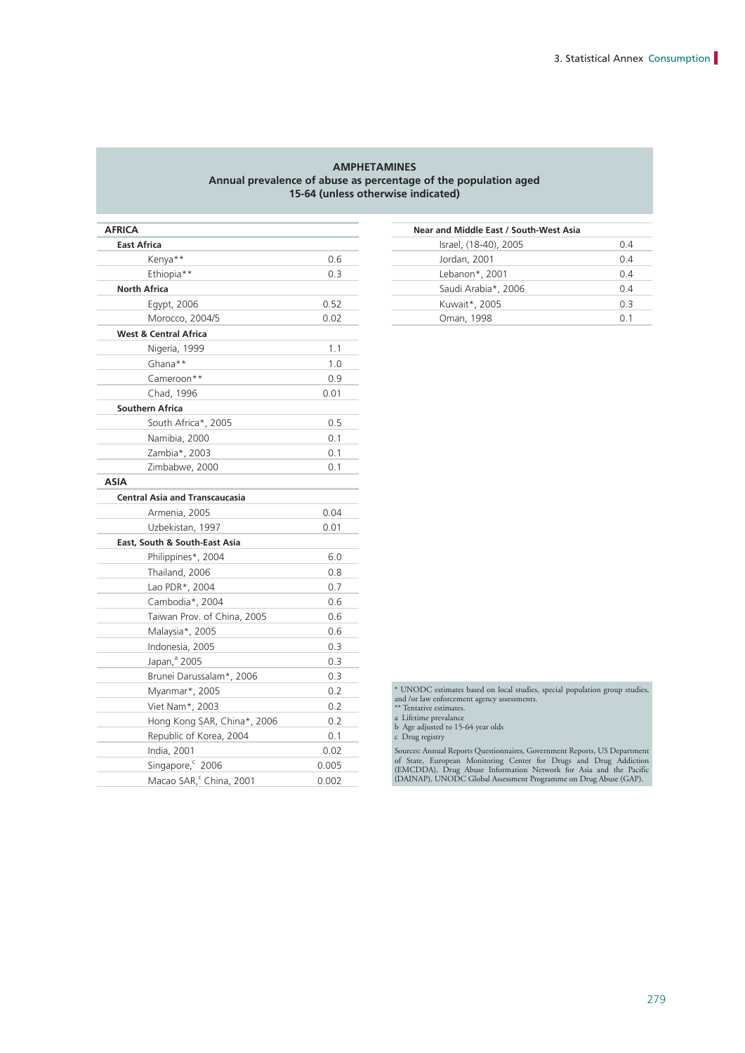#### **AMPHETAMINES Annual prevalence of abuse as percentage of the population aged 15-64 (unless otherwise indicated)**

| <b>AFRICA</b>                         |       | Near and Middle East / South-West Asia                                                           |
|---------------------------------------|-------|--------------------------------------------------------------------------------------------------|
| <b>East Africa</b>                    |       | Israel, (18-40), 2005                                                                            |
| Kenya**                               | 0.6   | Jordan, 2001                                                                                     |
| Ethiopia**                            | 0.3   | Lebanon*, 2001                                                                                   |
| <b>North Africa</b>                   |       | Saudi Arabia*, 2006                                                                              |
| Egypt, 2006                           | 0.52  | Kuwait*, 2005                                                                                    |
| Morocco, 2004/5                       | 0.02  | Oman, 1998                                                                                       |
| <b>West &amp; Central Africa</b>      |       |                                                                                                  |
| Nigeria, 1999                         | 1.1   |                                                                                                  |
| Ghana**                               | 1.0   |                                                                                                  |
| Cameroon**                            | 0.9   |                                                                                                  |
| Chad, 1996                            | 0.01  |                                                                                                  |
| <b>Southern Africa</b>                |       |                                                                                                  |
| South Africa*, 2005                   | 0.5   |                                                                                                  |
| Namibia, 2000                         | 0.1   |                                                                                                  |
| Zambia*, 2003                         | 0.1   |                                                                                                  |
| Zimbabwe, 2000                        | 0.1   |                                                                                                  |
| <b>ASIA</b>                           |       |                                                                                                  |
| <b>Central Asia and Transcaucasia</b> |       |                                                                                                  |
| Armenia, 2005                         | 0.04  |                                                                                                  |
| Uzbekistan, 1997                      | 0.01  |                                                                                                  |
| East, South & South-East Asia         |       |                                                                                                  |
| Philippines*, 2004                    | 6.0   |                                                                                                  |
| Thailand, 2006                        | 0.8   |                                                                                                  |
| Lao PDR*, 2004                        | 0.7   |                                                                                                  |
| Cambodia*, 2004                       | 0.6   |                                                                                                  |
| Taiwan Prov. of China, 2005           | 0.6   |                                                                                                  |
| Malaysia*, 2005                       | 0.6   |                                                                                                  |
| Indonesia, 2005                       | 0.3   |                                                                                                  |
| Japan, <sup>a</sup> 2005              | 0.3   |                                                                                                  |
| Brunei Darussalam*, 2006              | 0.3   |                                                                                                  |
| Myanmar*, 2005                        | 0.2   | * UNODC estimates based on local studies, special popu                                           |
| Viet Nam*, 2003                       | 0.2   | and /or law enforcement agency assessments.<br>** Tentative estimates.                           |
| Hong Kong SAR, China*, 2006           | 0.2   | a Lifetime prevalance                                                                            |
| Republic of Korea, 2004               | 0.1   | b Age adjusted to 15-64 year olds<br>c Drug registry                                             |
| India, 2001                           | 0.02  | Sources: Annual Reports Questionnaires, Government Rep                                           |
| Singapore, <sup>c</sup> 2006          | 0.005 | of State, European Monitoring Center for Drugs a<br>(EMCDDA), Drug Abuse Information Network for |
| Macao SAR, China, 2001                | 0.002 | (DAINAP), UNODC Global Assessment Programme on                                                   |

| RICA            |      | Near and Middle East / South-West Asia |     |
|-----------------|------|----------------------------------------|-----|
| East Africa     |      | Israel, (18-40), 2005                  | 0.4 |
| Kenya**         | 0.6  | Jordan, 2001                           | 0.4 |
| Ethiopia**      | 0.3  | Lebanon*, 2001                         | 0.4 |
| North Africa    |      | Saudi Arabia*, 2006                    | 0.4 |
| Egypt, 2006     | 0.52 | Kuwait*, 2005                          | 0.3 |
| Morocco, 2004/5 | 0.02 | Oman, 1998                             | 0.1 |
|                 |      |                                        |     |

\* UNODC estimates based on local studies, special population group studies, and /or law enforcement agency assessments. \*\* Tentative estimates. a Lifetime prevalance b Age adjusted to 15-64 year olds

Sources: Annual Reports Questionnaires, Government Reports, US Department (State, European Monitoring Center for Drugs and Drug Addiction (EMCDDA), Drug Abuse Information Network for Asia and the Pacific (DAINAP), UNODC Gl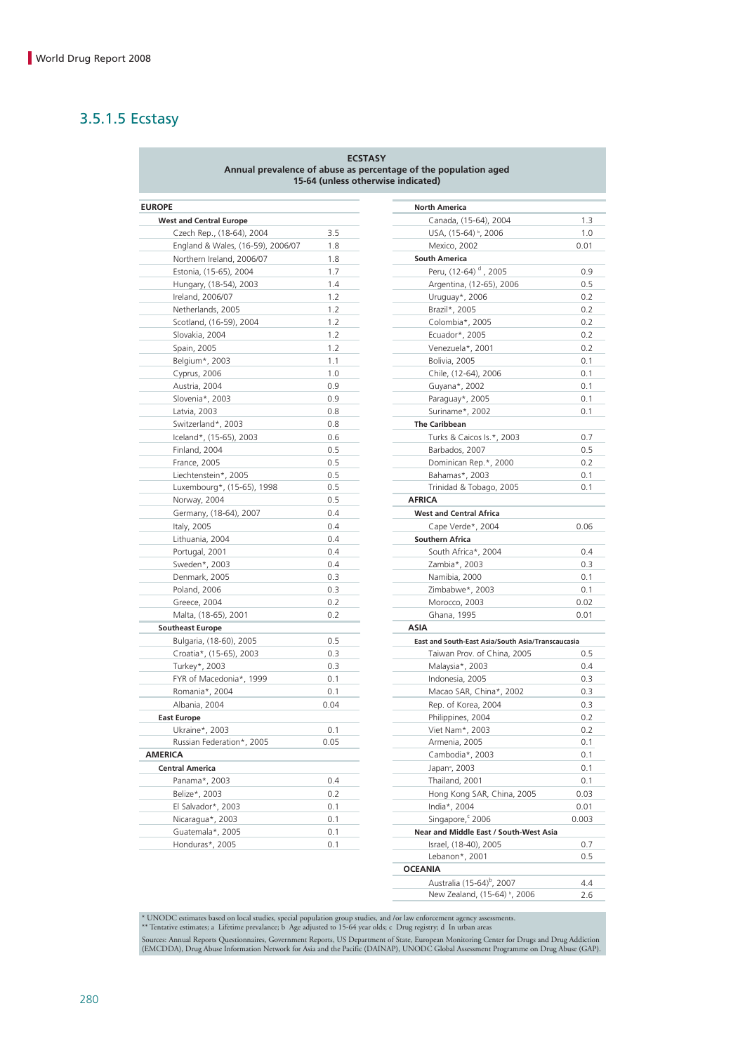### 3.5.1.5 Ecstasy

#### **ECSTASY Annual prevalence of abuse as percentage of the population aged 15-64 (unless otherwise indicated)**

| <b>EUROPE</b>                     |      | <b>North America</b>                              |       |
|-----------------------------------|------|---------------------------------------------------|-------|
| <b>West and Central Europe</b>    |      | Canada, (15-64), 2004                             | 1.3   |
| Czech Rep., (18-64), 2004         | 3.5  | USA, (15-64) <sup>b</sup> , 2006                  | 1.0   |
| England & Wales, (16-59), 2006/07 | 1.8  | Mexico, 2002                                      | 0.01  |
| Northern Ireland, 2006/07         | 1.8  | <b>South America</b>                              |       |
| Estonia, (15-65), 2004            | 1.7  | Peru, (12-64) <sup>d</sup> , 2005                 | 0.9   |
| Hungary, (18-54), 2003            | 1.4  | Argentina, (12-65), 2006                          | 0.5   |
| Ireland, 2006/07                  | 1.2  | Uruguay*, 2006                                    | 0.2   |
| Netherlands, 2005                 | 1.2  | Brazil*, 2005                                     | 0.2   |
| Scotland, (16-59), 2004           | 1.2  | Colombia*, 2005                                   | 0.2   |
| Slovakia, 2004                    | 1.2  | Ecuador*, 2005                                    | 0.2   |
| Spain, 2005                       | 1.2  | Venezuela*, 2001                                  | 0.2   |
| Belgium*, 2003                    | 1.1  | Bolivia, 2005                                     | 0.1   |
| Cyprus, 2006                      | 1.0  | Chile, (12-64), 2006                              | 0.1   |
| Austria, 2004                     | 0.9  | Guyana*, 2002                                     | 0.1   |
| Slovenia*, 2003                   | 0.9  | Paraguay*, 2005                                   | 0.1   |
| Latvia, 2003                      | 0.8  | Suriname*, 2002                                   | 0.1   |
| Switzerland*, 2003                | 0.8  | <b>The Caribbean</b>                              |       |
| Iceland*, (15-65), 2003           | 0.6  | Turks & Caicos Is.*, 2003                         | 0.7   |
| Finland, 2004                     | 0.5  | Barbados, 2007                                    | 0.5   |
| France, 2005                      | 0.5  | Dominican Rep.*, 2000                             | 0.2   |
| Liechtenstein*, 2005              | 0.5  | Bahamas*, 2003                                    | 0.1   |
| Luxembourg*, (15-65), 1998        | 0.5  | Trinidad & Tobago, 2005                           | 0.1   |
| Norway, 2004                      | 0.5  | <b>AFRICA</b>                                     |       |
| Germany, (18-64), 2007            | 0.4  | <b>West and Central Africa</b>                    |       |
| Italy, 2005                       | 0.4  | Cape Verde*, 2004                                 | 0.06  |
| Lithuania, 2004                   | 0.4  | <b>Southern Africa</b>                            |       |
| Portugal, 2001                    | 0.4  | South Africa*, 2004                               | 0.4   |
| Sweden*, 2003                     | 0.4  | Zambia*, 2003                                     | 0.3   |
| Denmark, 2005                     | 0.3  | Namibia, 2000                                     | 0.1   |
| Poland, 2006                      | 0.3  | Zimbabwe*, 2003                                   | 0.1   |
| Greece, 2004                      | 0.2  | Morocco, 2003                                     | 0.02  |
| Malta, (18-65), 2001              | 0.2  | Ghana, 1995                                       | 0.01  |
| <b>Southeast Europe</b>           |      | <b>ASIA</b>                                       |       |
| Bulgaria, (18-60), 2005           | 0.5  | East and South-East Asia/South Asia/Transcaucasia |       |
| Croatia*, (15-65), 2003           | 0.3  | Taiwan Prov. of China, 2005                       | 0.5   |
| Turkey*, 2003                     | 0.3  | Malaysia*, 2003                                   | 0.4   |
| FYR of Macedonia*, 1999           | 0.1  | Indonesia, 2005                                   | 0.3   |
| Romania*, 2004                    | 0.1  | Macao SAR, China*, 2002                           | 0.3   |
| Albania, 2004                     | 0.04 | Rep. of Korea, 2004                               | 0.3   |
| <b>East Europe</b>                |      | Philippines, 2004                                 | 0.2   |
| Ukraine*, 2003                    | 0.1  | Viet Nam*, 2003                                   | 0.2   |
| Russian Federation*, 2005         | 0.05 | Armenia, 2005                                     | 0.1   |
| <b>AMERICA</b>                    |      | Cambodia*, 2003                                   | 0.1   |
| <b>Central America</b>            |      | Japan <sup>ª</sup> , 2003                         | 0.1   |
| Panama*, 2003                     | 0.4  | Thailand, 2001                                    | 0.1   |
| Belize*, 2003                     | 0.2  | Hong Kong SAR, China, 2005                        | 0.03  |
| El Salvador*, 2003                | 0.1  | India*, 2004                                      | 0.01  |
| Nicaragua*, 2003                  | 0.1  | Singapore, <sup>c</sup> 2006                      | 0.003 |
| Guatemala*, 2005                  | 0.1  | Near and Middle East / South-West Asia            |       |
| Honduras*, 2005                   | 0.1  | Israel, (18-40), 2005                             | 0.7   |
|                                   |      |                                                   |       |

|                                                    |      | <b>North America</b>                              |       |
|----------------------------------------------------|------|---------------------------------------------------|-------|
| t and Central Europe                               |      | Canada, (15-64), 2004                             | 1.3   |
| Czech Rep., (18-64), 2004                          | 3.5  | USA, (15-64) b, 2006                              | 1.0   |
| England & Wales, (16-59), 2006/07                  | 1.8  | Mexico, 2002                                      | 0.01  |
| Northern Ireland, 2006/07                          | 1.8  | <b>South America</b>                              |       |
| Estonia, (15-65), 2004                             | 1.7  | Peru, (12-64) <sup>d</sup> , 2005                 | 0.9   |
| Hungary, (18-54), 2003                             | 1.4  | Argentina, (12-65), 2006                          | 0.5   |
| Ireland, 2006/07                                   | 1.2  | Uruguay*, 2006                                    | 0.2   |
| Netherlands, 2005                                  | 1.2  | Brazil*, 2005                                     | 0.2   |
| Scotland, (16-59), 2004                            | 1.2  | Colombia*, 2005                                   | 0.2   |
| Slovakia, 2004                                     | 1.2  | Ecuador*, 2005                                    | 0.2   |
| Spain, 2005                                        | 1.2  | Venezuela*, 2001                                  | 0.2   |
| Belgium*, 2003                                     | 1.1  | Bolivia, 2005                                     | 0.1   |
| Cyprus, 2006                                       | 1.0  | Chile, (12-64), 2006                              | 0.1   |
| Austria, 2004                                      | 0.9  | Guyana*, 2002                                     | 0.1   |
| Slovenia*, 2003                                    | 0.9  | Paraguay*, 2005                                   | 0.1   |
| Latvia, 2003                                       | 0.8  | Suriname*, 2002                                   | 0.1   |
| Switzerland*, 2003                                 | 0.8  | <b>The Caribbean</b>                              |       |
| Iceland*, (15-65), 2003                            | 0.6  | Turks & Caicos Is.*, 2003                         | 0.7   |
| Finland, 2004                                      | 0.5  | Barbados, 2007                                    | 0.5   |
| France, 2005                                       | 0.5  | Dominican Rep.*, 2000                             | 0.2   |
|                                                    | 0.5  | Bahamas*, 2003                                    | 0.1   |
| Liechtenstein*, 2005<br>Luxembourg*, (15-65), 1998 | 0.5  | Trinidad & Tobago, 2005                           | 0.1   |
| Norway, 2004                                       | 0.5  | <b>AFRICA</b>                                     |       |
|                                                    |      |                                                   |       |
| Germany, (18-64), 2007                             | 0.4  | <b>West and Central Africa</b>                    |       |
| Italy, 2005                                        | 0.4  | Cape Verde*, 2004                                 | 0.06  |
| Lithuania, 2004                                    | 0.4  | <b>Southern Africa</b>                            |       |
| Portugal, 2001                                     | 0.4  | South Africa*, 2004                               | 0.4   |
| Sweden*, 2003                                      | 0.4  | Zambia*, 2003                                     | 0.3   |
| Denmark, 2005                                      | 0.3  | Namibia, 2000                                     | 0.1   |
| Poland, 2006                                       | 0.3  | Zimbabwe*, 2003                                   | 0.1   |
| Greece, 2004                                       | 0.2  | Morocco, 2003                                     | 0.02  |
| Malta, (18-65), 2001                               | 0.2  | Ghana, 1995                                       | 0.01  |
| theast Europe                                      |      | <b>ASIA</b>                                       |       |
| Bulgaria, (18-60), 2005                            | 0.5  | East and South-East Asia/South Asia/Transcaucasia |       |
| Croatia*, (15-65), 2003                            | 0.3  | Taiwan Prov. of China, 2005                       | 0.5   |
| Turkey*, 2003                                      | 0.3  | Malaysia*, 2003                                   | 0.4   |
| FYR of Macedonia*, 1999                            | 0.1  | Indonesia, 2005                                   | 0.3   |
| Romania*, 2004                                     | 0.1  | Macao SAR, China*, 2002                           | 0.3   |
| Albania, 2004                                      | 0.04 | Rep. of Korea, 2004                               | 0.3   |
| Europe                                             |      | Philippines, 2004                                 | 0.2   |
| Ukraine*, 2003                                     | 0.1  | Viet Nam*, 2003                                   | 0.2   |
| Russian Federation*, 2005                          | 0.05 | Armenia, 2005                                     | 0.1   |
| CA                                                 |      | Cambodia*, 2003                                   | 0.1   |
| tral America                                       |      | Japan <sup>ª</sup> , 2003                         | 0.1   |
| Panama*, 2003                                      | 0.4  | Thailand, 2001                                    | 0.1   |
| Belize*, 2003                                      | 0.2  | Hong Kong SAR, China, 2005                        | 0.03  |
| El Salvador*, 2003                                 | 0.1  | India*, 2004                                      | 0.01  |
| Nicaragua*, 2003                                   | 0.1  | Singapore, 2006                                   | 0.003 |
| Guatemala*, 2005                                   | 0.1  | Near and Middle East / South-West Asia            |       |
| Honduras*, 2005                                    | 0.1  | Israel, (18-40), 2005                             | 0.7   |
|                                                    |      | Lebanon*, 2001                                    | 0.5   |
|                                                    |      | <b>OCEANIA</b>                                    |       |
|                                                    |      | Australia (15-64) <sup>b</sup> , 2007             | 4.4   |
|                                                    |      | New Zealand, (15-64) <sup>b</sup> , 2006          | 2.6   |

\* UNODC estimates based on local studies, special population group studies, and /or law enforcement agency assessments.<br>\*\* Tentative estimates; a Lifetime prevalance; b Age adjusted to 15-64 year olds; c Drug registry; d I

Sources: Annual Reports Questionnaires, Government Reports, US Department of State, European Monitoring Center for Drugs and Drug Addiction<br>(EMCDDA), Drug Abuse Information Network for Asia and the Pacific (DAINAP), UNODC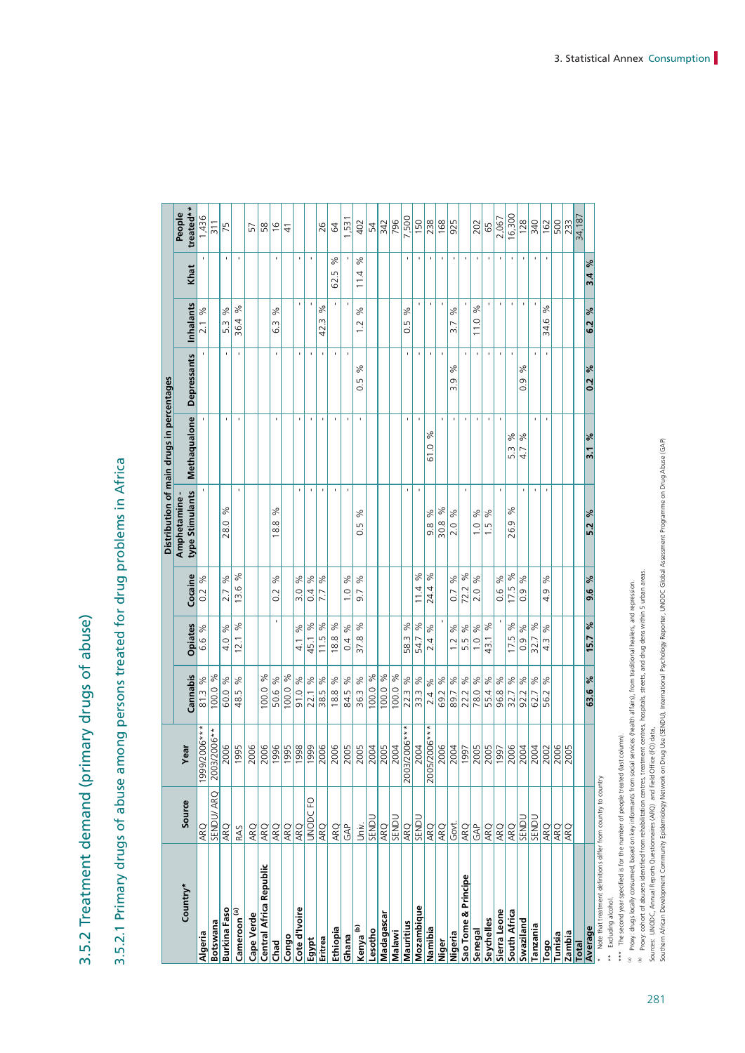3.5.2 Treatment demand (primary drugs of abuse) 3.5.2 Treatment demand (primary drugs of abuse)

3.5.2.1 Primary drugs of abuse among persons treated for drug problems in Africa 3.5.2.1 Primary drugs of abuse among persons treated for drug problems in Africa

|                                                                |                   |                      |                          |                              |                              |                                | Distribution of main drugs in percentages |                           |                      |                |                     |
|----------------------------------------------------------------|-------------------|----------------------|--------------------------|------------------------------|------------------------------|--------------------------------|-------------------------------------------|---------------------------|----------------------|----------------|---------------------|
| Country*                                                       | Source            | Year                 | Cannabis                 | Opiates                      | Cocaine                      | type Stimulants<br>Amphetamine | Methaqualone                              | <b>Depressants</b>        | <b>Inhalants</b>     | Khat           | treated**<br>People |
| Algeria                                                        | ARQ               | ***2002/006          | $\%$<br>81.3             | శ<br>9.9                     | శ<br>$\sim$                  |                                |                                           |                           | $\frac{5}{6}$<br>2.1 | f,             | 1,436               |
| Botswana                                                       | SENDU/ARQ         | 2006**<br>2003/2     | ४<br>100.0               |                              |                              |                                |                                           |                           |                      |                | $\frac{311}{2}$     |
| <b>Burkina Faso</b>                                            | ARQ               | 2006                 | ℅<br>60.0                | $\aleph$<br>4.0              | ℅<br>2.7                     | <sub>S6</sub><br>28.0          | $\blacksquare$                            | ×                         | $\aleph$<br>5.3      | ٠              | 75                  |
| Cameroon <sup>(a)</sup>                                        | RAS               | 1995                 | ℅<br>48.5                | $\delta$<br>12.1             | %<br>ِ<br>$\frac{3}{2}$      | $\blacksquare$                 | $\mathbf{I}$                              | $\mathbf{I}$              | ಸಿ<br>36.4           | $\blacksquare$ |                     |
| <b>Cape Verde</b>                                              | ARQ               | 2006                 |                          |                              |                              |                                |                                           |                           |                      |                | 57                  |
| Central Africa Republic                                        | ARQ               |                      | 00.0%                    |                              |                              |                                |                                           |                           |                      |                | 58                  |
| <b>Chad</b>                                                    | ARQ               |                      | 50.6 %                   |                              | ಸಿ<br>0.2                    | ಸಿ<br>18.8                     | ı                                         | $\blacksquare$            | ಸಿ<br>63             | ı              | $\frac{6}{2}$       |
| Congo                                                          | ARQ               |                      | 00.0 %                   |                              |                              |                                |                                           |                           |                      |                | $\frac{1}{4}$       |
| Cote d'Ivoire                                                  | ARO               | 2006<br>1995<br>1998 | 91.0%                    | $\delta$<br>$\frac{4}{1}$    | $\%$<br>$\frac{0}{3}$        | $\blacksquare$                 | ï                                         | $\blacksquare$            | $\blacksquare$       | ï              |                     |
| <b>Egypt</b>                                                   | S<br><b>UNODC</b> | 1999                 | 22.1 %                   | 45.1 %                       | $\%$<br>0.4                  | $\blacksquare$                 | $\blacksquare$                            | ٠                         | ı                    | ı              |                     |
| Eritrea                                                        | ARQ               | 2006                 | $\aleph$<br>38.5         | 11.5 %                       | ৡ<br>7.7                     | $\blacksquare$                 | $\blacksquare$                            | $\blacksquare$            | %<br>m<br>42.        |                | 26                  |
| Ethiopia                                                       | ARQ               |                      | $\aleph$<br>18.8         | 18.8%                        |                              | $\mathbf{I}$                   | ï                                         | $\blacksquare$            | $\blacksquare$       | ℅<br>62.5      | 64                  |
| Ghana                                                          | GAP               | $\frac{2005}{2005}$  | $\delta$<br>84.5         | $\frac{6}{5}$<br>0.4         | $\%$<br>$\overline{1}$ .     | ı                              | J.                                        | $\blacksquare$            | $\blacksquare$       | J.             | .531                |
| Kenya <sup>(b)</sup>                                           | is<br>Univ.       | 2005                 | $\%$<br>36.3             | $\%$<br>37.8                 | %<br>9.7                     | న<br>Lŋ<br>ö                   | J.                                        | $\delta$<br>Lņ<br>$\circ$ | %<br>12              | ℅<br>11.4      | 402                 |
| Lesotho                                                        | SENDI             | 2004                 | $\approx$<br>100.0       |                              |                              |                                |                                           |                           |                      |                | 54                  |
| Madagascar                                                     | ARQ               | $\frac{2005}{ }$     | $\%$<br>100.0            |                              |                              |                                |                                           |                           |                      |                | 342                 |
| Malawi                                                         | SENDI             | 04<br>$\approx$      | $ \mathcal{S} $<br>100.0 |                              |                              |                                |                                           |                           |                      |                | 796                 |
| Mauritius                                                      | ARQ               | 2003/2006***         | $\aleph$<br>22.3         | $\sqrt{6}$<br>58.3           |                              | ı                              | $\blacksquare$                            |                           | %<br>Lŋ<br>Õ         | $\blacksquare$ | 7,500               |
| Mozambique                                                     | SENDL             | 2004                 | 33.3 %                   | $\%$<br>54.7                 | $\aleph$<br>11.4             | ï                              | ı                                         |                           | ı                    | J.             | 150                 |
| Namibia                                                        | $\overline{ARQ}$  | 2005/2006***         | 2.4 %                    | $\aleph$<br>$\overline{2.4}$ | $\%$<br>24.4                 | %<br>9.8                       | వ్<br>61.0                                | ×                         | ï                    | $\blacksquare$ | 238                 |
| Niger                                                          | ARQ               |                      | 69.2 %                   |                              |                              | 30.8%                          | ï                                         | t                         | ï                    | ı              | 168                 |
| Nigeria                                                        | Govt.             |                      | اچ<br>89.7               | $\%$<br>$\overline{1}$ .     | $\aleph$<br>$\overline{0}$ . | $\frac{5}{6}$<br>2.0           | $\blacksquare$                            | ℅<br>9<br>m               | ಸಿ<br>3.7            | $\blacksquare$ | 925                 |
| Sao Tome & Principe                                            | ARQ               | $\frac{2004}{2001}$  | ।<br>१<br>22.2           | $\delta$<br>5.5              | $\%$<br>72.2                 | $\blacksquare$                 | J.                                        | $\blacksquare$            | ï                    | ï              |                     |
| Senegal                                                        | <b>GAP</b>        |                      | $\aleph$<br>78.0         | $\%$<br>$\frac{1}{2}$        | $\aleph$<br>2.0              | $\aleph$<br>$\frac{0}{1}$      | ı                                         | ı                         | $\delta$<br>11.0     | $\blacksquare$ | 202                 |
| Seychelles                                                     | ARQ               | $\frac{2005}{ }$     | $\aleph$<br>55.4         | $\%$<br>43.1                 |                              | ಸಿ<br>$\frac{1}{2}$            | $\blacksquare$                            | $\blacksquare$            | $\blacksquare$       | $\blacksquare$ | 65                  |
| Sierra Leone                                                   | ARQ               | 1997                 | 8 <sup>o</sup><br>96.8   |                              | 8 <sup>o</sup><br>0.6        | $\blacksquare$                 | $\blacksquare$                            |                           | ı                    | ı              | 2,067               |
| South Africa                                                   | ARQ               | 2006                 | $\delta$<br>32.7         | $\%$<br>LN<br>17.            | $ \mathscr{E} $<br>17.5      | ಸಿ<br>26.9                     | ℅<br>Ŵ.<br>ഗ്                             | f,                        | ı                    | $\,$           | 16,300              |
| Swaziland                                                      | SENDL             | 2004                 | 1391<br>92.2             | $\%$<br>$\overline{0}$ .     | $\%$<br>$\frac{0}{0}$        | $\blacksquare$                 | %<br>4.7                                  | ಸಿ<br>9<br>ö              | $\blacksquare$       | $\blacksquare$ | 128                 |
| Tanzania                                                       | SENDL             | 2004                 | 189<br>62.7              | $\%$<br>32.7                 |                              | $\blacksquare$                 | ı                                         |                           |                      | $\blacksquare$ | 340                 |
| Togo                                                           | ARQ               | 2002                 | %<br>56.2                | ಸಿ<br>$\ddot{4}$             | ಸಿ<br>Ō<br>4.                | $\blacksquare$                 |                                           |                           | ್ದೇ<br>6<br>34.      |                | 162                 |
| Tunisia                                                        | <b>ARQ</b>        | $\frac{2006}{2005}$  |                          |                              |                              |                                |                                           |                           |                      |                | 500                 |
| Zambia                                                         | <b>ARQ</b>        |                      |                          |                              |                              |                                |                                           |                           |                      |                | $\sqrt{233}$        |
| <b>Total</b>                                                   |                   |                      |                          |                              |                              |                                |                                           |                           |                      |                | 34,187              |
| Average                                                        |                   |                      | 63.6 %                   | $15.7\%$                     | $9.6\%$                      | $5.2\%$                        | $\frac{5}{6}$<br>$\overline{3}$ .1        | $0.2\frac{9}{6}$          | $6.2\%$              | $3.4\%$        |                     |
| Note that treatment definitions differ from country to country |                   |                      |                          |                              |                              |                                |                                           |                           |                      |                |                     |

\*\* Excluding alcohol. \*\* Excluding alcohol.

\*\*\* The second year specified is for the number of people treated (last column). \*\*\* The second year specified is for the number of people treated (last column).

<sup>a)</sup> Proxy: drugs locally consumed, based on key informants from social services (health affairs), from traditional healers, and repression.

 $^{b0}$  Proxy: cohort of abusers identified from rehabilitation centres, treatment centres, hospitals, streets, and drug dens within 5 urban areas.

Sources: UNODC, Annual Reports Questionnaires (ARQ) and Field Office (FO) data,

<sup>9)</sup> Proxy: drugs locally consumed, based on key informants from social services (health affairs), from traditional healers, and repression.<br><sup>81</sup> Proxy: cohort of abusers identified from rehabilitation centres, teatment ce Southern African Development Community Epidemiology Network on Drug Use (SENDU), International Psychology Reporter, UNODC Global Assessment Programme on Drug Abuse (GAP)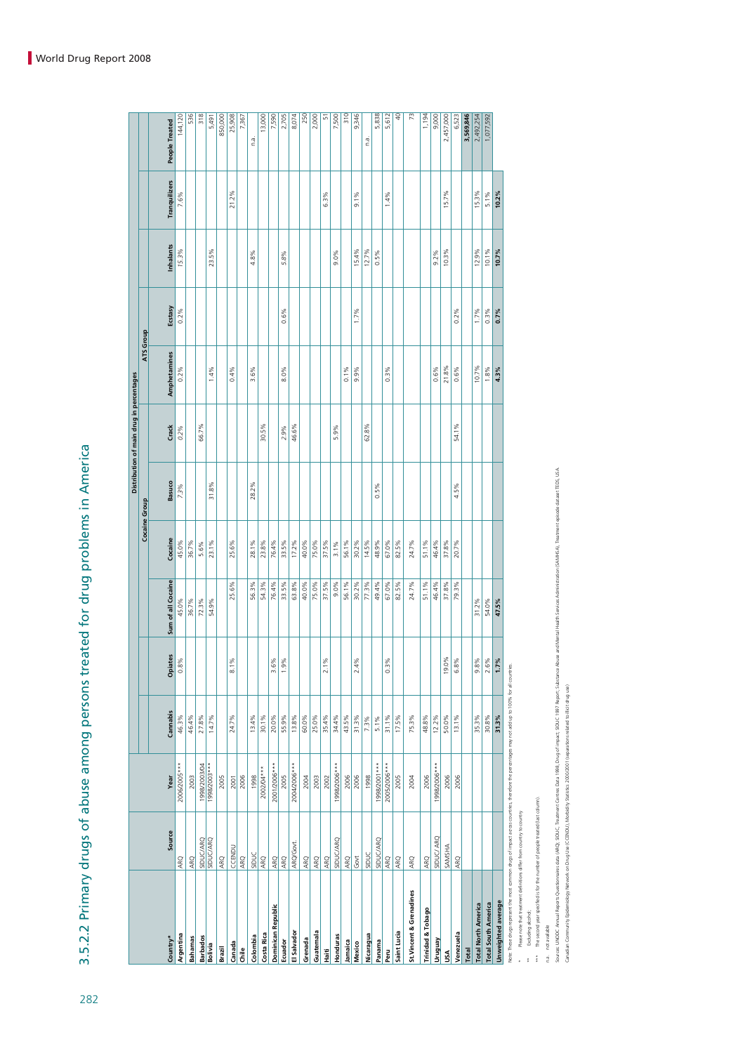| <br> <br> <br> <br>                                      |
|----------------------------------------------------------|
|                                                          |
|                                                          |
| <b>CONSIGNATION</b>                                      |
|                                                          |
|                                                          |
| かんしょう うらいこう こうこうこう うりことり しょうしょう しろこう                     |
|                                                          |
|                                                          |
|                                                          |
|                                                          |
|                                                          |
| ו<br>ו<br>֚֚֚֚֚֚֚֚֚֚֚֝֝֝֝֝֝֝֝<br>֧֪֪֪֪֪֝֝֝֝֝֝֟<br>l<br>( |

|                              |                  |              |          |                       |                    |               |        | Distribution of main drug in percentages |              |         |                         |               |                |
|------------------------------|------------------|--------------|----------|-----------------------|--------------------|---------------|--------|------------------------------------------|--------------|---------|-------------------------|---------------|----------------|
|                              |                  |              |          |                       |                    | Cocaine Group |        |                                          | ATS Group    |         |                         |               |                |
| Country*                     | Source           | Year         | Cannabis | Opiates               | Sum of all Cocaine | Cocaine       | Basuco | Crack                                    | Amphetamines | Ecstasy | Inhalants               | Tranquilizers | People Treated |
| Argentina                    | ARQ              | 2006/2005*** | 46.3%    | 0.8%                  | 45.0%              | 45.0%         | 7.3%   | 0.2%                                     | $0.2\%$      | $0.2\%$ | 15.3%                   | 7.6%          | 144,120        |
| <b>Bahamas</b>               | ARQ              | 2003         | 46.4%    |                       | 36.7%              | 36.7%         |        |                                          |              |         |                         |               | $\frac{1}{25}$ |
| <b>Barbados</b>              | <b>SIDUC/ARQ</b> | 1998/2003/04 | 27.8%    |                       | 72.3%              | 5.6%          |        | 66.7%                                    |              |         |                         |               | 318            |
| Bolivia                      | <b>SIDUC/ARQ</b> | ****002/8661 | 14.7%    |                       | 54.9%              | 23.1%         | 31.8%  |                                          | 1.4%         |         | 23.5%                   |               | 5,491          |
| Brazil                       | ARQ              | 2005         |          |                       |                    |               |        |                                          |              |         |                         |               | 850,000        |
| Canada                       | CCENDU           | 2001         | 24.7%    | 8.1%                  | 25.6%              | 25.6%         |        |                                          | 0.4%         |         |                         | 21.2%         | 25,908         |
| Chile                        | ARQ              | 2006         |          |                       |                    |               |        |                                          |              |         |                         |               | 7,367          |
| Colombia                     | SIDUC            | 1998         | 13.4%    |                       | 56.3%              | 28.1%         | 28.2%  |                                          | 3.6%         |         | 4.8%                    |               | n.a.           |
| Costa Rica                   | ARQ              | 2002/04***   | 30.1%    |                       | 54.3%              | 23.8%         |        | 30.5%                                    |              |         |                         |               | 13,000         |
| Dominican Republic           |                  | 2001/2006*** | 20.0%    | 3.6%                  | 76.4%              | 76.4%         |        |                                          |              |         |                         |               | 7,590          |
| Ecuador                      | $rac{1}{40}$     | 2005         | 55.9%    | 1.9%                  | 33.5%              | 33.5%         |        | 2.9%                                     | 8.0%         | $0.6\%$ | 5.8%                    |               | 2,705          |
| El Salvador                  | ARQ/Govt.        | 2004/2006*** | 13.8%    |                       | 63.8%              | 17.2%         |        | 46.6%                                    |              |         |                         |               | 8,074          |
| Grenada                      | ARQ              | 2004         | 60.0%    |                       | 40.0%              | 40.0%         |        |                                          |              |         |                         |               | 250            |
| Guatemala                    | ARQ              | 2003         | 25.0%    |                       | 75.0%              | 75.0%         |        |                                          |              |         |                         |               | 2,000          |
| Haiti                        | ARQ              | 2002         | 35.4%    | 2.1%                  | 37.5%              | 37.5%         |        |                                          |              |         |                         | 6.3%          | 5              |
| Honduras                     | <b>SIDUC/ARQ</b> | 1998/2006*** | 34.4%    |                       | 9.0%               | 3.1%          |        | 5.9%                                     |              |         | 9.0%                    |               | 7,500          |
| Jamaica                      | <b>ARQ</b>       | 2006         | 43.5%    |                       | 56.1%              | 56.1%         |        |                                          | 0.1%         |         |                         |               | $\frac{1}{2}$  |
| Mexico                       | 5 <sub>o</sub>   | 2006         | 31.3%    | 2.4%                  | 30.2%              | 30.2%         |        |                                          | 9.9%         | 1.7%    | 15.4%                   | 9.1%          | 9,346          |
| Nicaragua                    | SIDUC            | 1998         | 7.3%     |                       | 77.3%              | 14.5%         |        | 62.8%                                    |              |         | 12.7%                   |               | n.a.           |
| Panama                       | <b>SIDUC/ARQ</b> | 1998/2001*** | 5.1%     |                       | 49.4%              | 48.9%         | 0.5%   |                                          |              |         | 0.5%                    |               | 5,838          |
| Peru                         | ARQ              | 2005/2006*** | 31.1%    | $0.3\%$               | 67.0%              | 67.0%         |        |                                          | $0.3\%$      |         |                         | 1.4%          | 5,612          |
| Saint Lucia                  | ARQ              | 2005         | 17.5%    |                       | 82.5%              | 82.5%         |        |                                          |              |         |                         |               | ₽              |
| St. Vincent & Grenadines     | ARQ              | 2004         | 75.3%    |                       | 24.7%              | 24.7%         |        |                                          |              |         |                         |               | 73             |
| <b>Trinidad &amp; Tobago</b> | ARQ              | 2006         | 48.8%    |                       | 51.1%              | 51.1%         |        |                                          |              |         |                         |               | 1,194          |
| Vruguay                      | SIDUC/ ARQ       | ***002/2006  | $12.2\%$ |                       | 46.4%              | 46.4%         |        |                                          | $0.6\%$      |         | 9.2%                    |               | 9,000          |
| υsΑ                          | SAMSHA           | 2006         | 50.0%    | 19.0%                 | 37.8%              | 37.8%         |        |                                          | 21.8%        |         | 10.3%                   | 15.7%         | 2,457,000      |
| Venezuela                    | <b>ARQ</b>       | 2006         | 13.1%    | 6.8%                  | 79.3%              | 20.7%         | 4.5%   | 54.1%                                    | 0.6%         | $0.2\%$ |                         |               | 6,523          |
| <b>Total</b>                 |                  |              |          |                       |                    |               |        |                                          |              |         |                         |               | 3,569,846      |
| <b>Total North America</b>   |                  |              | 35.3%    | 9.8%                  | 31.2%              |               |        |                                          | 10.7%        | 1.7%    | 12.9%                   | 15.3%         | 2,492,254      |
| <b>Total South America</b>   |                  |              | 30.8%    | $\frac{2.6\%}{1.7\%}$ | 54.0%<br>47.5%     |               |        |                                          | 1.8%         | $0.3\%$ | $\frac{10.1\%}{10.7\%}$ | $5.1\%$       | 1,077,592      |
| Unweighted average           |                  |              | 31.3%    |                       |                    |               |        |                                          | 4.3%         | 0.7%    |                         | 10.2%         |                |

Note: These drugs represent the most common drugs of impact across countries, therefore the percentages may not add up to 100% for all countries.

\* Please note that treatment definitions differ from country to country \*\* Excluding alcohol; \*\*\* The second year specified is for the number of people treated (last column).

n.a. not available

Sources: UNODC\_Annual Reports Ouestlormaires data (ARO): SIDUC\_Treatment Centres Data 1998. Drug of innact; SIDUC 1997 Report: Substance Abustan (Applies Metal Health Services Administration (SAMHSA). Treatment episode dat

Canadian Community Epidemiology Network on Drug Use (CCENDU), Morbidity Statistics 2000/2001 (separations related to illicit drug use)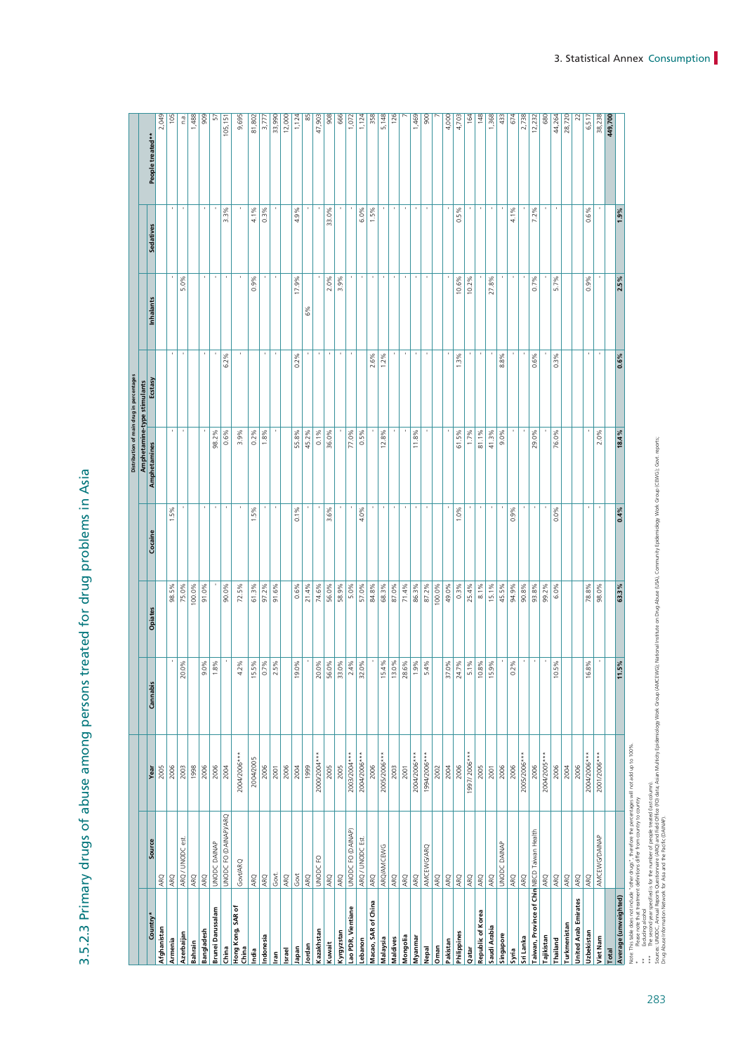3.5.2.3 Primary drugs of abuse among persons treated for drug problems in Asia 3.5.2.3 Primary drugs of abuse among persons treated for drug problems in Asia

| 2,049<br>105<br>5,148<br>126<br>148<br>2,738<br>38,238<br>1,488<br>909<br>85<br>47,903<br>908<br>666<br>1,469<br>4,000<br>164<br>1,368<br>28,720<br>1,124<br>1,124<br>358<br>900<br>4,703<br>433<br>674<br>12,232<br>22<br>6,517<br>n.a.<br>5<br>680<br>44,264<br>449,700<br>9,695<br>81,802<br>33,990<br>12,000<br>1,072<br>105,151<br>3,777<br>People treated**<br>٠<br>$\,$<br>٠<br>$\,$<br>٠<br>٠<br>$\,$<br>$\,$<br>٠<br>$\,$<br>٠<br>×<br>٠<br>$0.3\%$<br>J.<br>33.0%<br>6.0%<br>1.5%<br>4.1%<br>7.2%<br>4.9%<br>5%<br>0.6%<br>1.9%<br>3.3%<br>4.1%<br>ö<br>Sedatives<br>$\,$<br>$\mathbf{r}$<br>$\,$<br>$\,$<br>$\,$<br>$\,$<br>$\,$<br>$\,$<br>$\,$<br>$\,$<br>$\,$<br>٠<br>17.9%<br>0.7%<br>5.7%<br>0.9%<br>2.5%<br>5.0%<br>$-9%$<br>2.0%<br>3.9%<br>10.6%<br>10.2%<br>.8%<br>Õ<br>27.<br>Inhalants<br>6%<br>$\,$<br>$\,$<br>٠<br>$\,$<br>$\,$<br>٠<br>6.2%<br>$0.2\%$<br>2.6%<br>1.2%<br>1.3%<br>0.3%<br>8.8%<br>0.6%<br>$0.6\%$<br>Amphetamine-type stimulants<br><b>Ecstas</b><br>$\,$<br>$\,$<br>0.1%<br>98.2%<br>0.6%<br>3.9%<br>$0.2\%$<br>1.8%<br>55.8%<br>45.2%<br>36.0%<br>77.0%<br>0.5%<br>12.8%<br>11.8%<br>61.5%<br>1.7%<br>81.1%<br>41.3%<br>$9.0\%$<br>76.0%<br>2.0%<br>18.4%<br>29.0%<br>Amphetamines<br>ł.<br>×<br>$\,$<br>$\,$<br>$\,$<br>$\,$<br>$\,$<br>ł<br>٠<br>$\,$<br>$\,$<br>٠<br>٠<br>٠<br>ı<br>0.1%<br>3.6%<br>4.0%<br>1.0%<br>0.9%<br>0.0%<br>0.4%<br>$.5\%$<br>.5%<br>Cocaine<br>100.0%<br>61.3%<br>0.6%<br>74.6%<br>56.0%<br>5.0%<br>57.0%<br>84.8%<br>68.3%<br>87.0%<br>71.4%<br>86.3%<br>87.2%<br>100.0%<br>49.0%<br>$0.3\%$<br>25.4%<br>15.1%<br>45.5%<br>90.8%<br>98.0%<br>63.3%<br>98.5%<br>75.0%<br>91.0%<br>90.0%<br>72.5%<br>97.2%<br>91.6%<br>21.4%<br>58.9%<br>8.1%<br>94.9%<br>93.8%<br>99.2%<br>6.0%<br>78.8%<br>Opiates<br>t<br>ł,<br>×<br>$\mathbf{r}$<br>$\,$<br>t<br>%c<br>15.5%<br>×<br>$\frac{20.0\%}{56.0\%}$<br>33.0%<br>32.0%<br>÷,<br>$1\%$<br>13.0%<br>28.6%<br>$-5%$<br>9.0%<br>1.8%<br>$\frac{0.7\%}{2.5\%}$<br>9%<br>2.4%<br>$1.9\%$<br>5.4%<br>%c<br>10 <sub>6</sub><br>$\%$<br>10.8%<br>15.9%<br>ें<br>16.8%<br>$\frac{56}{16}$<br>ઁ<br>20.C<br>$\frac{1}{4}$<br>15.4<br>37.0<br>24.7<br>$\frac{1}{2}$<br>G<br>11.5<br>$\overline{5}$<br>`o<br>Cannabis<br>Note: This table does not include "other drugs", therefore the percentages will not add up to 100%<br>1997/2006 ***<br>2000/2004***<br>2005/2006***<br>2005/2006***<br>2004/2006***<br>2004/2006***<br>1994/2006***<br>2004/2005***<br>2004/2006***<br>2004/2006***<br>2003/2004***<br>2001/2006***<br>2004/2005<br>2006<br>2006<br>2005<br>2006<br>2006<br>2006<br>2006<br>2005<br>2006<br>2003<br>1998<br>2006<br>2003<br>2005<br>2006<br>2006<br>2004<br>2006<br>2006<br>2004<br>2001<br>2004<br>2005<br>2001<br>2002<br>2004<br>2001<br>1999<br>Year<br>UNODC FO (DAINAP)/ARQ<br>UNODC FO (DAINAP)<br>Taiwan, Province of Chin NBCD Taiwan Health<br><b>AMCEWG/DAINAP</b><br>ARQ / UNODC est.<br>ARQ/UNODC Est<br>Source<br>UNODC DAINAP<br>UNODC DAINAP<br>ARQ/AMCEWG<br>AMCEWG/ARQ<br>UNODC FO<br>Govt/ARQ<br>Govt<br>Govt<br>ARQ<br>ARQ<br>ARQ<br>ARQ<br>ARQ<br>ARQ<br>ARQ<br>ARQ<br>ARQ<br>ARQ<br>ARQ<br>ARQ<br><b>ARQ</b><br>ARQ<br>ARQ<br>ARQ<br>ARQ<br>ARQ<br>ARQ<br>ARQ<br>ARQ<br>ARQ<br><b>ARQ</b><br>ARQ<br>ARQ<br>ARQ<br>ARQ<br><b>United Arab Emirates</b><br>Macao, SAR of China<br>Hong Kong, SAR of<br>Lao PDR, Vientiane<br>Brunei Darussalam<br>Republic of Korea<br>Country'<br>Turkmenistan<br>Saudi Arabia<br>Afghanistan<br>Bangladesh<br>Kazakhstan<br>Kyrgyzstan<br>Uzbekistan<br>Azerbaijan<br>Singapore<br>Indonesia<br>Tajikistan<br>Mongolia<br>Viet Nam<br>Myanmar<br>Malaysia<br>Maldives<br>Armenia<br>Thailand<br>Lebanon<br>Pakistan<br>Bahrain<br>Nepal<br>Israel<br>Total<br>lian |  |  |  | Distribution of main drug in percentages |  |  |
|------------------------------------------------------------------------------------------------------------------------------------------------------------------------------------------------------------------------------------------------------------------------------------------------------------------------------------------------------------------------------------------------------------------------------------------------------------------------------------------------------------------------------------------------------------------------------------------------------------------------------------------------------------------------------------------------------------------------------------------------------------------------------------------------------------------------------------------------------------------------------------------------------------------------------------------------------------------------------------------------------------------------------------------------------------------------------------------------------------------------------------------------------------------------------------------------------------------------------------------------------------------------------------------------------------------------------------------------------------------------------------------------------------------------------------------------------------------------------------------------------------------------------------------------------------------------------------------------------------------------------------------------------------------------------------------------------------------------------------------------------------------------------------------------------------------------------------------------------------------------------------------------------------------------------------------------------------------------------------------------------------------------------------------------------------------------------------------------------------------------------------------------------------------------------------------------------------------------------------------------------------------------------------------------------------------------------------------------------------------------------------------------------------------------------------------------------------------------------------------------------------------------------------------------------------------------------------------------------------------------------------------------------------------------------------------------------------------------------------------------------------------------------------------------------------------------------------------------------------------------------------------------------------------------------------------------------------------------------------------------------------------------------------------------------------------------------------------------------------------------------------------------------------------------------------------------------------------------------------------------------------------------------------------------------------------------------------------------------------------------------------------------------------------------------------------------------------------------------------------------------------------------------------------------------------------------------------------------------------------------------------------------------------------------------------------------------------------------------------------------------|--|--|--|------------------------------------------|--|--|
|                                                                                                                                                                                                                                                                                                                                                                                                                                                                                                                                                                                                                                                                                                                                                                                                                                                                                                                                                                                                                                                                                                                                                                                                                                                                                                                                                                                                                                                                                                                                                                                                                                                                                                                                                                                                                                                                                                                                                                                                                                                                                                                                                                                                                                                                                                                                                                                                                                                                                                                                                                                                                                                                                                                                                                                                                                                                                                                                                                                                                                                                                                                                                                                                                                                                                                                                                                                                                                                                                                                                                                                                                                                                                                                                                      |  |  |  |                                          |  |  |
|                                                                                                                                                                                                                                                                                                                                                                                                                                                                                                                                                                                                                                                                                                                                                                                                                                                                                                                                                                                                                                                                                                                                                                                                                                                                                                                                                                                                                                                                                                                                                                                                                                                                                                                                                                                                                                                                                                                                                                                                                                                                                                                                                                                                                                                                                                                                                                                                                                                                                                                                                                                                                                                                                                                                                                                                                                                                                                                                                                                                                                                                                                                                                                                                                                                                                                                                                                                                                                                                                                                                                                                                                                                                                                                                                      |  |  |  |                                          |  |  |
|                                                                                                                                                                                                                                                                                                                                                                                                                                                                                                                                                                                                                                                                                                                                                                                                                                                                                                                                                                                                                                                                                                                                                                                                                                                                                                                                                                                                                                                                                                                                                                                                                                                                                                                                                                                                                                                                                                                                                                                                                                                                                                                                                                                                                                                                                                                                                                                                                                                                                                                                                                                                                                                                                                                                                                                                                                                                                                                                                                                                                                                                                                                                                                                                                                                                                                                                                                                                                                                                                                                                                                                                                                                                                                                                                      |  |  |  |                                          |  |  |
|                                                                                                                                                                                                                                                                                                                                                                                                                                                                                                                                                                                                                                                                                                                                                                                                                                                                                                                                                                                                                                                                                                                                                                                                                                                                                                                                                                                                                                                                                                                                                                                                                                                                                                                                                                                                                                                                                                                                                                                                                                                                                                                                                                                                                                                                                                                                                                                                                                                                                                                                                                                                                                                                                                                                                                                                                                                                                                                                                                                                                                                                                                                                                                                                                                                                                                                                                                                                                                                                                                                                                                                                                                                                                                                                                      |  |  |  |                                          |  |  |
|                                                                                                                                                                                                                                                                                                                                                                                                                                                                                                                                                                                                                                                                                                                                                                                                                                                                                                                                                                                                                                                                                                                                                                                                                                                                                                                                                                                                                                                                                                                                                                                                                                                                                                                                                                                                                                                                                                                                                                                                                                                                                                                                                                                                                                                                                                                                                                                                                                                                                                                                                                                                                                                                                                                                                                                                                                                                                                                                                                                                                                                                                                                                                                                                                                                                                                                                                                                                                                                                                                                                                                                                                                                                                                                                                      |  |  |  |                                          |  |  |
| Average (unweighted)<br>Philippines<br>Sri Lanka<br>Kuwait<br>Jordan<br>China<br>Oman<br>Japan<br>China<br>Qatar<br>Syria<br>hdia                                                                                                                                                                                                                                                                                                                                                                                                                                                                                                                                                                                                                                                                                                                                                                                                                                                                                                                                                                                                                                                                                                                                                                                                                                                                                                                                                                                                                                                                                                                                                                                                                                                                                                                                                                                                                                                                                                                                                                                                                                                                                                                                                                                                                                                                                                                                                                                                                                                                                                                                                                                                                                                                                                                                                                                                                                                                                                                                                                                                                                                                                                                                                                                                                                                                                                                                                                                                                                                                                                                                                                                                                    |  |  |  |                                          |  |  |
|                                                                                                                                                                                                                                                                                                                                                                                                                                                                                                                                                                                                                                                                                                                                                                                                                                                                                                                                                                                                                                                                                                                                                                                                                                                                                                                                                                                                                                                                                                                                                                                                                                                                                                                                                                                                                                                                                                                                                                                                                                                                                                                                                                                                                                                                                                                                                                                                                                                                                                                                                                                                                                                                                                                                                                                                                                                                                                                                                                                                                                                                                                                                                                                                                                                                                                                                                                                                                                                                                                                                                                                                                                                                                                                                                      |  |  |  |                                          |  |  |
|                                                                                                                                                                                                                                                                                                                                                                                                                                                                                                                                                                                                                                                                                                                                                                                                                                                                                                                                                                                                                                                                                                                                                                                                                                                                                                                                                                                                                                                                                                                                                                                                                                                                                                                                                                                                                                                                                                                                                                                                                                                                                                                                                                                                                                                                                                                                                                                                                                                                                                                                                                                                                                                                                                                                                                                                                                                                                                                                                                                                                                                                                                                                                                                                                                                                                                                                                                                                                                                                                                                                                                                                                                                                                                                                                      |  |  |  |                                          |  |  |
|                                                                                                                                                                                                                                                                                                                                                                                                                                                                                                                                                                                                                                                                                                                                                                                                                                                                                                                                                                                                                                                                                                                                                                                                                                                                                                                                                                                                                                                                                                                                                                                                                                                                                                                                                                                                                                                                                                                                                                                                                                                                                                                                                                                                                                                                                                                                                                                                                                                                                                                                                                                                                                                                                                                                                                                                                                                                                                                                                                                                                                                                                                                                                                                                                                                                                                                                                                                                                                                                                                                                                                                                                                                                                                                                                      |  |  |  |                                          |  |  |
|                                                                                                                                                                                                                                                                                                                                                                                                                                                                                                                                                                                                                                                                                                                                                                                                                                                                                                                                                                                                                                                                                                                                                                                                                                                                                                                                                                                                                                                                                                                                                                                                                                                                                                                                                                                                                                                                                                                                                                                                                                                                                                                                                                                                                                                                                                                                                                                                                                                                                                                                                                                                                                                                                                                                                                                                                                                                                                                                                                                                                                                                                                                                                                                                                                                                                                                                                                                                                                                                                                                                                                                                                                                                                                                                                      |  |  |  |                                          |  |  |
|                                                                                                                                                                                                                                                                                                                                                                                                                                                                                                                                                                                                                                                                                                                                                                                                                                                                                                                                                                                                                                                                                                                                                                                                                                                                                                                                                                                                                                                                                                                                                                                                                                                                                                                                                                                                                                                                                                                                                                                                                                                                                                                                                                                                                                                                                                                                                                                                                                                                                                                                                                                                                                                                                                                                                                                                                                                                                                                                                                                                                                                                                                                                                                                                                                                                                                                                                                                                                                                                                                                                                                                                                                                                                                                                                      |  |  |  |                                          |  |  |
|                                                                                                                                                                                                                                                                                                                                                                                                                                                                                                                                                                                                                                                                                                                                                                                                                                                                                                                                                                                                                                                                                                                                                                                                                                                                                                                                                                                                                                                                                                                                                                                                                                                                                                                                                                                                                                                                                                                                                                                                                                                                                                                                                                                                                                                                                                                                                                                                                                                                                                                                                                                                                                                                                                                                                                                                                                                                                                                                                                                                                                                                                                                                                                                                                                                                                                                                                                                                                                                                                                                                                                                                                                                                                                                                                      |  |  |  |                                          |  |  |
|                                                                                                                                                                                                                                                                                                                                                                                                                                                                                                                                                                                                                                                                                                                                                                                                                                                                                                                                                                                                                                                                                                                                                                                                                                                                                                                                                                                                                                                                                                                                                                                                                                                                                                                                                                                                                                                                                                                                                                                                                                                                                                                                                                                                                                                                                                                                                                                                                                                                                                                                                                                                                                                                                                                                                                                                                                                                                                                                                                                                                                                                                                                                                                                                                                                                                                                                                                                                                                                                                                                                                                                                                                                                                                                                                      |  |  |  |                                          |  |  |
|                                                                                                                                                                                                                                                                                                                                                                                                                                                                                                                                                                                                                                                                                                                                                                                                                                                                                                                                                                                                                                                                                                                                                                                                                                                                                                                                                                                                                                                                                                                                                                                                                                                                                                                                                                                                                                                                                                                                                                                                                                                                                                                                                                                                                                                                                                                                                                                                                                                                                                                                                                                                                                                                                                                                                                                                                                                                                                                                                                                                                                                                                                                                                                                                                                                                                                                                                                                                                                                                                                                                                                                                                                                                                                                                                      |  |  |  |                                          |  |  |
|                                                                                                                                                                                                                                                                                                                                                                                                                                                                                                                                                                                                                                                                                                                                                                                                                                                                                                                                                                                                                                                                                                                                                                                                                                                                                                                                                                                                                                                                                                                                                                                                                                                                                                                                                                                                                                                                                                                                                                                                                                                                                                                                                                                                                                                                                                                                                                                                                                                                                                                                                                                                                                                                                                                                                                                                                                                                                                                                                                                                                                                                                                                                                                                                                                                                                                                                                                                                                                                                                                                                                                                                                                                                                                                                                      |  |  |  |                                          |  |  |
|                                                                                                                                                                                                                                                                                                                                                                                                                                                                                                                                                                                                                                                                                                                                                                                                                                                                                                                                                                                                                                                                                                                                                                                                                                                                                                                                                                                                                                                                                                                                                                                                                                                                                                                                                                                                                                                                                                                                                                                                                                                                                                                                                                                                                                                                                                                                                                                                                                                                                                                                                                                                                                                                                                                                                                                                                                                                                                                                                                                                                                                                                                                                                                                                                                                                                                                                                                                                                                                                                                                                                                                                                                                                                                                                                      |  |  |  |                                          |  |  |
|                                                                                                                                                                                                                                                                                                                                                                                                                                                                                                                                                                                                                                                                                                                                                                                                                                                                                                                                                                                                                                                                                                                                                                                                                                                                                                                                                                                                                                                                                                                                                                                                                                                                                                                                                                                                                                                                                                                                                                                                                                                                                                                                                                                                                                                                                                                                                                                                                                                                                                                                                                                                                                                                                                                                                                                                                                                                                                                                                                                                                                                                                                                                                                                                                                                                                                                                                                                                                                                                                                                                                                                                                                                                                                                                                      |  |  |  |                                          |  |  |
|                                                                                                                                                                                                                                                                                                                                                                                                                                                                                                                                                                                                                                                                                                                                                                                                                                                                                                                                                                                                                                                                                                                                                                                                                                                                                                                                                                                                                                                                                                                                                                                                                                                                                                                                                                                                                                                                                                                                                                                                                                                                                                                                                                                                                                                                                                                                                                                                                                                                                                                                                                                                                                                                                                                                                                                                                                                                                                                                                                                                                                                                                                                                                                                                                                                                                                                                                                                                                                                                                                                                                                                                                                                                                                                                                      |  |  |  |                                          |  |  |
|                                                                                                                                                                                                                                                                                                                                                                                                                                                                                                                                                                                                                                                                                                                                                                                                                                                                                                                                                                                                                                                                                                                                                                                                                                                                                                                                                                                                                                                                                                                                                                                                                                                                                                                                                                                                                                                                                                                                                                                                                                                                                                                                                                                                                                                                                                                                                                                                                                                                                                                                                                                                                                                                                                                                                                                                                                                                                                                                                                                                                                                                                                                                                                                                                                                                                                                                                                                                                                                                                                                                                                                                                                                                                                                                                      |  |  |  |                                          |  |  |
|                                                                                                                                                                                                                                                                                                                                                                                                                                                                                                                                                                                                                                                                                                                                                                                                                                                                                                                                                                                                                                                                                                                                                                                                                                                                                                                                                                                                                                                                                                                                                                                                                                                                                                                                                                                                                                                                                                                                                                                                                                                                                                                                                                                                                                                                                                                                                                                                                                                                                                                                                                                                                                                                                                                                                                                                                                                                                                                                                                                                                                                                                                                                                                                                                                                                                                                                                                                                                                                                                                                                                                                                                                                                                                                                                      |  |  |  |                                          |  |  |
|                                                                                                                                                                                                                                                                                                                                                                                                                                                                                                                                                                                                                                                                                                                                                                                                                                                                                                                                                                                                                                                                                                                                                                                                                                                                                                                                                                                                                                                                                                                                                                                                                                                                                                                                                                                                                                                                                                                                                                                                                                                                                                                                                                                                                                                                                                                                                                                                                                                                                                                                                                                                                                                                                                                                                                                                                                                                                                                                                                                                                                                                                                                                                                                                                                                                                                                                                                                                                                                                                                                                                                                                                                                                                                                                                      |  |  |  |                                          |  |  |
|                                                                                                                                                                                                                                                                                                                                                                                                                                                                                                                                                                                                                                                                                                                                                                                                                                                                                                                                                                                                                                                                                                                                                                                                                                                                                                                                                                                                                                                                                                                                                                                                                                                                                                                                                                                                                                                                                                                                                                                                                                                                                                                                                                                                                                                                                                                                                                                                                                                                                                                                                                                                                                                                                                                                                                                                                                                                                                                                                                                                                                                                                                                                                                                                                                                                                                                                                                                                                                                                                                                                                                                                                                                                                                                                                      |  |  |  |                                          |  |  |
|                                                                                                                                                                                                                                                                                                                                                                                                                                                                                                                                                                                                                                                                                                                                                                                                                                                                                                                                                                                                                                                                                                                                                                                                                                                                                                                                                                                                                                                                                                                                                                                                                                                                                                                                                                                                                                                                                                                                                                                                                                                                                                                                                                                                                                                                                                                                                                                                                                                                                                                                                                                                                                                                                                                                                                                                                                                                                                                                                                                                                                                                                                                                                                                                                                                                                                                                                                                                                                                                                                                                                                                                                                                                                                                                                      |  |  |  |                                          |  |  |
|                                                                                                                                                                                                                                                                                                                                                                                                                                                                                                                                                                                                                                                                                                                                                                                                                                                                                                                                                                                                                                                                                                                                                                                                                                                                                                                                                                                                                                                                                                                                                                                                                                                                                                                                                                                                                                                                                                                                                                                                                                                                                                                                                                                                                                                                                                                                                                                                                                                                                                                                                                                                                                                                                                                                                                                                                                                                                                                                                                                                                                                                                                                                                                                                                                                                                                                                                                                                                                                                                                                                                                                                                                                                                                                                                      |  |  |  |                                          |  |  |
|                                                                                                                                                                                                                                                                                                                                                                                                                                                                                                                                                                                                                                                                                                                                                                                                                                                                                                                                                                                                                                                                                                                                                                                                                                                                                                                                                                                                                                                                                                                                                                                                                                                                                                                                                                                                                                                                                                                                                                                                                                                                                                                                                                                                                                                                                                                                                                                                                                                                                                                                                                                                                                                                                                                                                                                                                                                                                                                                                                                                                                                                                                                                                                                                                                                                                                                                                                                                                                                                                                                                                                                                                                                                                                                                                      |  |  |  |                                          |  |  |
|                                                                                                                                                                                                                                                                                                                                                                                                                                                                                                                                                                                                                                                                                                                                                                                                                                                                                                                                                                                                                                                                                                                                                                                                                                                                                                                                                                                                                                                                                                                                                                                                                                                                                                                                                                                                                                                                                                                                                                                                                                                                                                                                                                                                                                                                                                                                                                                                                                                                                                                                                                                                                                                                                                                                                                                                                                                                                                                                                                                                                                                                                                                                                                                                                                                                                                                                                                                                                                                                                                                                                                                                                                                                                                                                                      |  |  |  |                                          |  |  |
|                                                                                                                                                                                                                                                                                                                                                                                                                                                                                                                                                                                                                                                                                                                                                                                                                                                                                                                                                                                                                                                                                                                                                                                                                                                                                                                                                                                                                                                                                                                                                                                                                                                                                                                                                                                                                                                                                                                                                                                                                                                                                                                                                                                                                                                                                                                                                                                                                                                                                                                                                                                                                                                                                                                                                                                                                                                                                                                                                                                                                                                                                                                                                                                                                                                                                                                                                                                                                                                                                                                                                                                                                                                                                                                                                      |  |  |  |                                          |  |  |
|                                                                                                                                                                                                                                                                                                                                                                                                                                                                                                                                                                                                                                                                                                                                                                                                                                                                                                                                                                                                                                                                                                                                                                                                                                                                                                                                                                                                                                                                                                                                                                                                                                                                                                                                                                                                                                                                                                                                                                                                                                                                                                                                                                                                                                                                                                                                                                                                                                                                                                                                                                                                                                                                                                                                                                                                                                                                                                                                                                                                                                                                                                                                                                                                                                                                                                                                                                                                                                                                                                                                                                                                                                                                                                                                                      |  |  |  |                                          |  |  |
|                                                                                                                                                                                                                                                                                                                                                                                                                                                                                                                                                                                                                                                                                                                                                                                                                                                                                                                                                                                                                                                                                                                                                                                                                                                                                                                                                                                                                                                                                                                                                                                                                                                                                                                                                                                                                                                                                                                                                                                                                                                                                                                                                                                                                                                                                                                                                                                                                                                                                                                                                                                                                                                                                                                                                                                                                                                                                                                                                                                                                                                                                                                                                                                                                                                                                                                                                                                                                                                                                                                                                                                                                                                                                                                                                      |  |  |  |                                          |  |  |
|                                                                                                                                                                                                                                                                                                                                                                                                                                                                                                                                                                                                                                                                                                                                                                                                                                                                                                                                                                                                                                                                                                                                                                                                                                                                                                                                                                                                                                                                                                                                                                                                                                                                                                                                                                                                                                                                                                                                                                                                                                                                                                                                                                                                                                                                                                                                                                                                                                                                                                                                                                                                                                                                                                                                                                                                                                                                                                                                                                                                                                                                                                                                                                                                                                                                                                                                                                                                                                                                                                                                                                                                                                                                                                                                                      |  |  |  |                                          |  |  |
|                                                                                                                                                                                                                                                                                                                                                                                                                                                                                                                                                                                                                                                                                                                                                                                                                                                                                                                                                                                                                                                                                                                                                                                                                                                                                                                                                                                                                                                                                                                                                                                                                                                                                                                                                                                                                                                                                                                                                                                                                                                                                                                                                                                                                                                                                                                                                                                                                                                                                                                                                                                                                                                                                                                                                                                                                                                                                                                                                                                                                                                                                                                                                                                                                                                                                                                                                                                                                                                                                                                                                                                                                                                                                                                                                      |  |  |  |                                          |  |  |
|                                                                                                                                                                                                                                                                                                                                                                                                                                                                                                                                                                                                                                                                                                                                                                                                                                                                                                                                                                                                                                                                                                                                                                                                                                                                                                                                                                                                                                                                                                                                                                                                                                                                                                                                                                                                                                                                                                                                                                                                                                                                                                                                                                                                                                                                                                                                                                                                                                                                                                                                                                                                                                                                                                                                                                                                                                                                                                                                                                                                                                                                                                                                                                                                                                                                                                                                                                                                                                                                                                                                                                                                                                                                                                                                                      |  |  |  |                                          |  |  |
|                                                                                                                                                                                                                                                                                                                                                                                                                                                                                                                                                                                                                                                                                                                                                                                                                                                                                                                                                                                                                                                                                                                                                                                                                                                                                                                                                                                                                                                                                                                                                                                                                                                                                                                                                                                                                                                                                                                                                                                                                                                                                                                                                                                                                                                                                                                                                                                                                                                                                                                                                                                                                                                                                                                                                                                                                                                                                                                                                                                                                                                                                                                                                                                                                                                                                                                                                                                                                                                                                                                                                                                                                                                                                                                                                      |  |  |  |                                          |  |  |
|                                                                                                                                                                                                                                                                                                                                                                                                                                                                                                                                                                                                                                                                                                                                                                                                                                                                                                                                                                                                                                                                                                                                                                                                                                                                                                                                                                                                                                                                                                                                                                                                                                                                                                                                                                                                                                                                                                                                                                                                                                                                                                                                                                                                                                                                                                                                                                                                                                                                                                                                                                                                                                                                                                                                                                                                                                                                                                                                                                                                                                                                                                                                                                                                                                                                                                                                                                                                                                                                                                                                                                                                                                                                                                                                                      |  |  |  |                                          |  |  |
|                                                                                                                                                                                                                                                                                                                                                                                                                                                                                                                                                                                                                                                                                                                                                                                                                                                                                                                                                                                                                                                                                                                                                                                                                                                                                                                                                                                                                                                                                                                                                                                                                                                                                                                                                                                                                                                                                                                                                                                                                                                                                                                                                                                                                                                                                                                                                                                                                                                                                                                                                                                                                                                                                                                                                                                                                                                                                                                                                                                                                                                                                                                                                                                                                                                                                                                                                                                                                                                                                                                                                                                                                                                                                                                                                      |  |  |  |                                          |  |  |
|                                                                                                                                                                                                                                                                                                                                                                                                                                                                                                                                                                                                                                                                                                                                                                                                                                                                                                                                                                                                                                                                                                                                                                                                                                                                                                                                                                                                                                                                                                                                                                                                                                                                                                                                                                                                                                                                                                                                                                                                                                                                                                                                                                                                                                                                                                                                                                                                                                                                                                                                                                                                                                                                                                                                                                                                                                                                                                                                                                                                                                                                                                                                                                                                                                                                                                                                                                                                                                                                                                                                                                                                                                                                                                                                                      |  |  |  |                                          |  |  |
|                                                                                                                                                                                                                                                                                                                                                                                                                                                                                                                                                                                                                                                                                                                                                                                                                                                                                                                                                                                                                                                                                                                                                                                                                                                                                                                                                                                                                                                                                                                                                                                                                                                                                                                                                                                                                                                                                                                                                                                                                                                                                                                                                                                                                                                                                                                                                                                                                                                                                                                                                                                                                                                                                                                                                                                                                                                                                                                                                                                                                                                                                                                                                                                                                                                                                                                                                                                                                                                                                                                                                                                                                                                                                                                                                      |  |  |  |                                          |  |  |
|                                                                                                                                                                                                                                                                                                                                                                                                                                                                                                                                                                                                                                                                                                                                                                                                                                                                                                                                                                                                                                                                                                                                                                                                                                                                                                                                                                                                                                                                                                                                                                                                                                                                                                                                                                                                                                                                                                                                                                                                                                                                                                                                                                                                                                                                                                                                                                                                                                                                                                                                                                                                                                                                                                                                                                                                                                                                                                                                                                                                                                                                                                                                                                                                                                                                                                                                                                                                                                                                                                                                                                                                                                                                                                                                                      |  |  |  |                                          |  |  |
|                                                                                                                                                                                                                                                                                                                                                                                                                                                                                                                                                                                                                                                                                                                                                                                                                                                                                                                                                                                                                                                                                                                                                                                                                                                                                                                                                                                                                                                                                                                                                                                                                                                                                                                                                                                                                                                                                                                                                                                                                                                                                                                                                                                                                                                                                                                                                                                                                                                                                                                                                                                                                                                                                                                                                                                                                                                                                                                                                                                                                                                                                                                                                                                                                                                                                                                                                                                                                                                                                                                                                                                                                                                                                                                                                      |  |  |  |                                          |  |  |
|                                                                                                                                                                                                                                                                                                                                                                                                                                                                                                                                                                                                                                                                                                                                                                                                                                                                                                                                                                                                                                                                                                                                                                                                                                                                                                                                                                                                                                                                                                                                                                                                                                                                                                                                                                                                                                                                                                                                                                                                                                                                                                                                                                                                                                                                                                                                                                                                                                                                                                                                                                                                                                                                                                                                                                                                                                                                                                                                                                                                                                                                                                                                                                                                                                                                                                                                                                                                                                                                                                                                                                                                                                                                                                                                                      |  |  |  |                                          |  |  |
|                                                                                                                                                                                                                                                                                                                                                                                                                                                                                                                                                                                                                                                                                                                                                                                                                                                                                                                                                                                                                                                                                                                                                                                                                                                                                                                                                                                                                                                                                                                                                                                                                                                                                                                                                                                                                                                                                                                                                                                                                                                                                                                                                                                                                                                                                                                                                                                                                                                                                                                                                                                                                                                                                                                                                                                                                                                                                                                                                                                                                                                                                                                                                                                                                                                                                                                                                                                                                                                                                                                                                                                                                                                                                                                                                      |  |  |  |                                          |  |  |
|                                                                                                                                                                                                                                                                                                                                                                                                                                                                                                                                                                                                                                                                                                                                                                                                                                                                                                                                                                                                                                                                                                                                                                                                                                                                                                                                                                                                                                                                                                                                                                                                                                                                                                                                                                                                                                                                                                                                                                                                                                                                                                                                                                                                                                                                                                                                                                                                                                                                                                                                                                                                                                                                                                                                                                                                                                                                                                                                                                                                                                                                                                                                                                                                                                                                                                                                                                                                                                                                                                                                                                                                                                                                                                                                                      |  |  |  |                                          |  |  |
|                                                                                                                                                                                                                                                                                                                                                                                                                                                                                                                                                                                                                                                                                                                                                                                                                                                                                                                                                                                                                                                                                                                                                                                                                                                                                                                                                                                                                                                                                                                                                                                                                                                                                                                                                                                                                                                                                                                                                                                                                                                                                                                                                                                                                                                                                                                                                                                                                                                                                                                                                                                                                                                                                                                                                                                                                                                                                                                                                                                                                                                                                                                                                                                                                                                                                                                                                                                                                                                                                                                                                                                                                                                                                                                                                      |  |  |  |                                          |  |  |
|                                                                                                                                                                                                                                                                                                                                                                                                                                                                                                                                                                                                                                                                                                                                                                                                                                                                                                                                                                                                                                                                                                                                                                                                                                                                                                                                                                                                                                                                                                                                                                                                                                                                                                                                                                                                                                                                                                                                                                                                                                                                                                                                                                                                                                                                                                                                                                                                                                                                                                                                                                                                                                                                                                                                                                                                                                                                                                                                                                                                                                                                                                                                                                                                                                                                                                                                                                                                                                                                                                                                                                                                                                                                                                                                                      |  |  |  |                                          |  |  |

\*\* Excluding alcohol

\*\*\* The second year specified is for the number of people treated (last column).

Note This table does not include other throef the percentages will not add up to 100%.<br>••• Eduation according to the form county to ountry<br>••• Eduation according is for the number of people irreductions).<br>••• The second ye Sources: UNODC. Annual Reports Ouestionnaire (ARO) and Field office (FO) data; Asian Multichy Eoidemiology Work Group (AMCEWG): National Institute on Drug Abuse (USA). Community Epidemiology Work Group (CEWG): Govt. report Drug Abuse Information Network for Asia and the Pacific (DAINAP).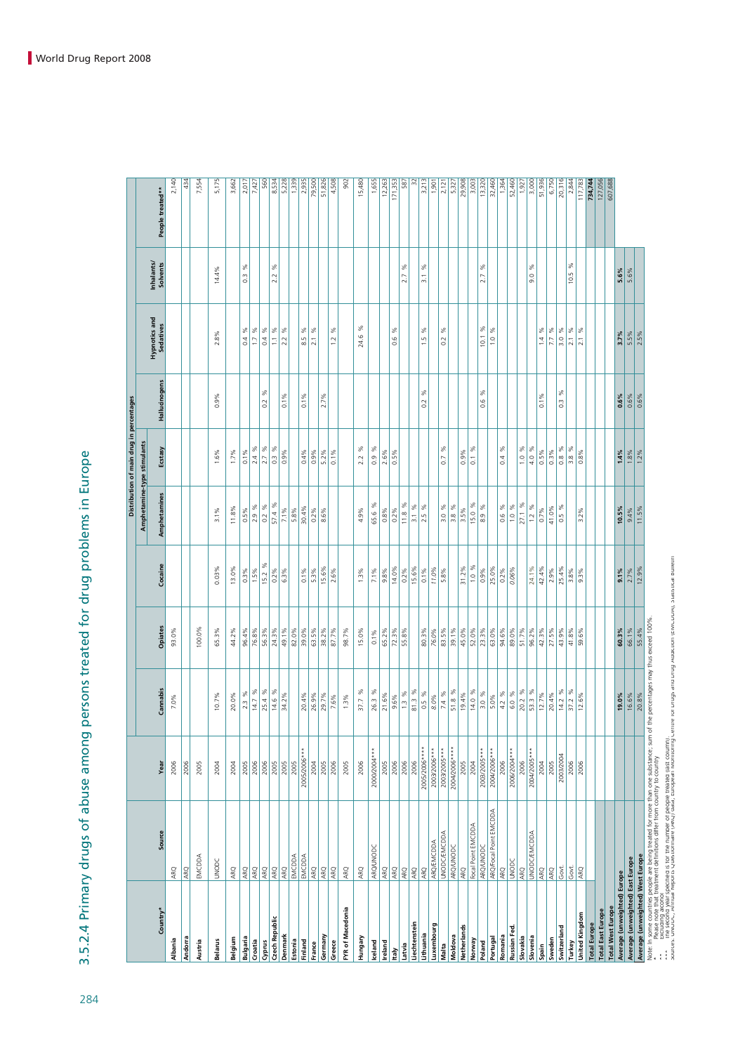3.5.2.4 Primary drugs of abuse among persons treated for drug problems in Europe 3.5.2.4 Primary drugs of abuse among persons treated for drug problems in Europe

|                                  |                                                                                                                                                                                                                                   |                               |                   |                |                        |                             | Distribution of main drug in percentages |                       |                            |                        |                  |
|----------------------------------|-----------------------------------------------------------------------------------------------------------------------------------------------------------------------------------------------------------------------------------|-------------------------------|-------------------|----------------|------------------------|-----------------------------|------------------------------------------|-----------------------|----------------------------|------------------------|------------------|
|                                  |                                                                                                                                                                                                                                   |                               |                   |                |                        | Amphetamine-type stimulants |                                          |                       |                            |                        |                  |
| Country*                         | Source                                                                                                                                                                                                                            | Year                          | Cannabis          | Opiates        | Cocaine                | Amphetamines                | Ecstasy                                  | Hallucinogens         | Hypnotics and<br>Sedatives | Inhalants/<br>Solvents | People treated** |
| Albania                          | ARQ                                                                                                                                                                                                                               | 2006                          | 7.0%              | 93.0%          |                        |                             |                                          |                       |                            |                        | 2,140            |
| Andorra                          | ARQ                                                                                                                                                                                                                               | 2006                          |                   |                |                        |                             |                                          |                       |                            |                        | 434              |
| Austria                          | EMCDDA                                                                                                                                                                                                                            | 2005                          |                   | 100.0%         |                        |                             |                                          |                       |                            |                        | 7,554            |
| <b>Belarus</b>                   | <b>UNODC</b>                                                                                                                                                                                                                      | 2004                          | 10.7%             | 65.3%          | $0.03\%$               | 3.1%                        | 1.6%                                     | 0.9%                  | 2.8%                       | 14.4%                  | 5,175            |
| Belgium                          | ARQ                                                                                                                                                                                                                               | 2004                          | 20.0%             | 44.2%          | 13.0%                  | 11.8%                       | 1.7%                                     |                       |                            |                        | 3,662            |
| Bulgaria                         | ARQ                                                                                                                                                                                                                               | 2005                          | 2.3 %             | 96.4%          | $0.3\%$                | 0.5%                        | 0.1%                                     |                       | $\%$<br>0.4                | ℅<br>$\overline{0}$ .  | 2,017            |
| Croatia                          | ARQ                                                                                                                                                                                                                               | 2006                          | 14.7 %            | 76.8%          | 1.5%                   | $2.9\%$                     | 2.4 %                                    |                       | $\%$<br>$\overline{1}$     |                        | 7,427            |
| Cyprus                           | ARQ                                                                                                                                                                                                                               | 2006                          | 25.4 %            | 56.3%          | 15.2%                  | $0.2\%$                     | 2.7 %                                    | %<br>0.2              | $\%$<br>0.4                |                        | 560              |
| Czech Republic                   | ARQ                                                                                                                                                                                                                               | 2005                          | 14.6 %            | 24.3%          | 0.2%                   | 57.4 %                      | $0.3\%$                                  |                       | %<br>E                     | ℅<br>2.2               | 8,534            |
| Denmark                          | <b>ARQ</b>                                                                                                                                                                                                                        | 2005                          | 34.2%             | 49.1%          | 6.3%                   | 7.1%                        | 0.9%                                     | 0.1%                  | $\%$<br>2.2                |                        | 5,228            |
| Estonia                          | EMCDDA                                                                                                                                                                                                                            | 2005                          |                   | 82.0%          |                        | 5.8%                        |                                          |                       |                            |                        | 1,339            |
| Finland                          | EMCDDA                                                                                                                                                                                                                            | 2005/2006***                  | 20.4%             | 39.0%          | $0.1\%$                | 30.4%                       | 0.4%                                     | 0.1%                  | %<br>8.5                   |                        | 2,935            |
| France                           | ARQ                                                                                                                                                                                                                               | 2004                          | 26.9%             | 63.5%          | 5.3%                   | $0.2\%$                     | 0.9%                                     |                       | $\%$<br>$\overline{2.1}$   |                        | 79,500           |
| Germany                          | <b>ARQ</b>                                                                                                                                                                                                                        | 2005                          | 29.7%             | 38.2%          | 15.6%                  | 8.6%                        | $5.2\%$                                  | 2.7%                  |                            |                        | 51,826           |
| Greece                           | ARQ                                                                                                                                                                                                                               | 2006                          | 7.6%              | 87.7%          | 2.6%                   |                             | 0.1%                                     |                       | $\%$<br>1.2                |                        | 4,508            |
| FYR of Macedonia                 | ARQ                                                                                                                                                                                                                               | 2005                          | $1.3\%$           | 98.7%          |                        |                             |                                          |                       |                            |                        | 902              |
| Hungary                          | ARQ                                                                                                                                                                                                                               | 2006                          | 37.7 %            | 15.0%          | 1.3%                   | 4.9%                        | ž<br>2.2                                 |                       | ℅<br>24.6                  |                        | 15,480           |
| Iceland                          | ARQ/UNODC                                                                                                                                                                                                                         | 2000/2004***                  | 26.3 %            | 0.1%           | 7.1%                   | 65.6 %                      | $0.9\%$                                  |                       |                            |                        | 1,655            |
| <b>Ireland</b>                   | ARQ                                                                                                                                                                                                                               | 2005                          | 21.6%             | 65.2%          | 9.8%                   | 0.8%                        | 2.6%                                     |                       |                            |                        | 12,263           |
| taly                             | ARQ                                                                                                                                                                                                                               | 2006                          | 9.6%              | 72.3%          | 14.0%                  | $0.2\%$                     | $0.5\%$                                  |                       | $\%$<br>0.6                |                        | 171,353          |
| Latvia                           | ARQ                                                                                                                                                                                                                               | 2006                          | $1.3\%$           | 55.8%          | $0.2\%$                | 11.8%                       |                                          |                       |                            | $\%$<br>2.7            | 587              |
| Liechtenstein                    | ARQ                                                                                                                                                                                                                               | 2006                          | 81.3 %            |                | 15.6%                  | 3.1%                        |                                          |                       |                            |                        | $\approx$        |
| Lithuania                        | ARO                                                                                                                                                                                                                               | 2005/2006****                 | 0.5 %             | 80.3%          | $0.1\%$                | ℅<br>2.5                    |                                          | ℅<br>0.2              | ℅<br>1.5                   | ℅<br>$\overline{3}$ .  | 3,213            |
| Luxembourg                       | ARQ/EMCDDA                                                                                                                                                                                                                        | 2003/2006***                  | 8.0%              | 76.0%          | 11.0%                  |                             |                                          |                       |                            |                        | 1,901            |
| Moldova<br>Malta                 | <b>UNODC/EMCDDA</b><br>ARQ/UNODC                                                                                                                                                                                                  | 2004/2006****<br>2003/2005*** | 51.8 %<br>$7.4\%$ | 83.5%<br>39.1% | 5.8%                   | $\%$<br>3.8 %<br>3.0        | $\%$<br>0.7                              |                       | $\%$<br>0.2                |                        | 2,121            |
| Netherlands                      | ARQ                                                                                                                                                                                                                               | 2005                          | 19.4%             | 45.0%          | 31.2%                  | 3.5%                        | 0.9%                                     |                       |                            |                        | 29,908<br>5,327  |
| Norway                           | Focal Point EMCDDA                                                                                                                                                                                                                | 2004                          | 14.0%             | 52.0%          | 1.0%                   | 15.0%                       | $0.1\%$                                  |                       |                            |                        | 3,003            |
| Poland                           | ARQ/UNODC                                                                                                                                                                                                                         | 2003/2005***                  | 3.0%              | 23.3%          | $0.9\%$                | $\%$<br>$\frac{9}{8}$       |                                          | ℅<br>$\frac{6}{1}$    | ℅<br>10.1                  | శ<br>2.7               | 13,320           |
| Portuga                          | ARQ/Focal Point EMCDDA                                                                                                                                                                                                            | 2004/2006***                  | 5.0%              | 63.0%          | 25.0%                  |                             |                                          |                       | %<br>$\overline{1.0}$      |                        | 32,460           |
| Romania                          | ARQ                                                                                                                                                                                                                               | 2006                          | 4.2 %             | 94.6%          | $0.2\%$                | 0.6 %                       | ৺<br>0.4                                 |                       |                            |                        | 1,364            |
| Russian Fed                      | <b>UNODC</b>                                                                                                                                                                                                                      | 2006/2004***                  | 6.0%              | 89.0%          | 0.06%                  | 1.0 %                       |                                          |                       |                            |                        | 52,460           |
| Slovakia                         | ARQ                                                                                                                                                                                                                               | 2006                          | 20.2 %            | 51.7%          |                        | 27.1 %                      | ℅<br>$\frac{0}{1}$                       |                       |                            |                        | 1,927            |
| Slovenia<br>Spain                | <b>UNODC/EMCDDA</b><br>ARQ                                                                                                                                                                                                        | 2004/2005***<br>2004          | 53.3%<br>12.7%    | 96.2%<br>42.3% | 42.4%<br>24.1%         | 1.2 %<br>0.7%               | 4.0 %<br>0.5%                            | 0.1%                  | ℅<br>1.4                   | $\%$<br>9.0            | 3,000<br>51,936  |
| Sweden                           | ARQ                                                                                                                                                                                                                               | 2005                          | 20.4%             | 27.5%          | 2.9%                   | 41.0%                       | $0.3\%$                                  |                       | $\%$<br>7.7                |                        | 6,750            |
| Switzerland                      | Govt.                                                                                                                                                                                                                             | 2003/2004                     | 14.2 %            | 43.9%          | 25.4%                  | ℅<br>$\frac{5}{2}$          | $0.8\%$                                  | ℅<br>$\frac{3}{2}$    | $\%$<br>$\frac{30}{2}$     |                        | 20,316           |
| Turkey                           | Govt.                                                                                                                                                                                                                             | 2006                          | ☆<br>37.2         | 41.8%          | 3.8%                   |                             | $3.8\%$                                  |                       | $\%$<br>2.1                | ℅<br>10.5              | 2,844            |
| United Kingdom                   | ARQ                                                                                                                                                                                                                               | 2006                          | 12.6%             | 59.6%          | 9.3%                   | 3.2%                        | $0.8\%$                                  |                       | %<br>$\overline{2.1}$      |                        | 117,783          |
| <b>Total Europe</b>              |                                                                                                                                                                                                                                   |                               |                   |                |                        |                             |                                          |                       |                            |                        | 734,744          |
| <b>Total East Europe</b>         |                                                                                                                                                                                                                                   |                               |                   |                |                        |                             |                                          |                       |                            |                        | 127,056          |
| <b>Total West Europe</b>         |                                                                                                                                                                                                                                   |                               |                   |                |                        |                             |                                          |                       |                            |                        | 607,688          |
| Average (unweighted) Europe      |                                                                                                                                                                                                                                   |                               | 19.0%             | 60.3%          | 9.1%                   | 10.5%                       | 1.4%                                     | $0.6\%$               | 3.7%                       | 5.6%                   |                  |
| Average (unweighted) East Europe |                                                                                                                                                                                                                                   |                               | 16.6%             | 66.1%          | $\frac{2.7\%}{12.9\%}$ | $\frac{9.4\%}{11.5\%}$      | 1.8%                                     | $\frac{0.6\%}{0.6\%}$ | 5.5%<br>2.5%               | 5.6%                   |                  |
| Average (unweighted) West Europe |                                                                                                                                                                                                                                   |                               | 20.8%             | 55.4%          |                        |                             | $1.2\%$                                  |                       |                            |                        |                  |
|                                  | Vote: In some countries people are being treated for more than one substance; sum of the percentages may thus exceed 100%.<br>Vote: In some countries people are definitional traditional from the substance; sum of the percenta |                               |                   |                |                        |                             |                                          |                       |                            |                        |                  |

\*\* Please note that treatment definitions differ from country to country<br>\*\* Please note that the state of the first country of the state of the state of the state of the state of the<br>\*\* The second year specified is to the \* Please note that freatment definitions differ from country to country<br>\* The Second Property of the Second Second Property of Country<br>\* \* The Second Weal Specified is for the number of people treated (ast countrie, entre